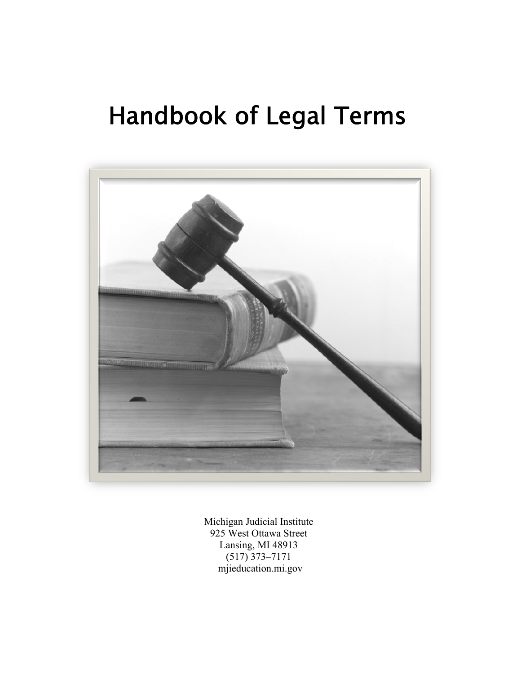# Handbook of Legal Terms



Michigan Judicial Institute 925 West Ottawa Street Lansing, MI 48913 (517) 373–7171 mjieducation.mi.gov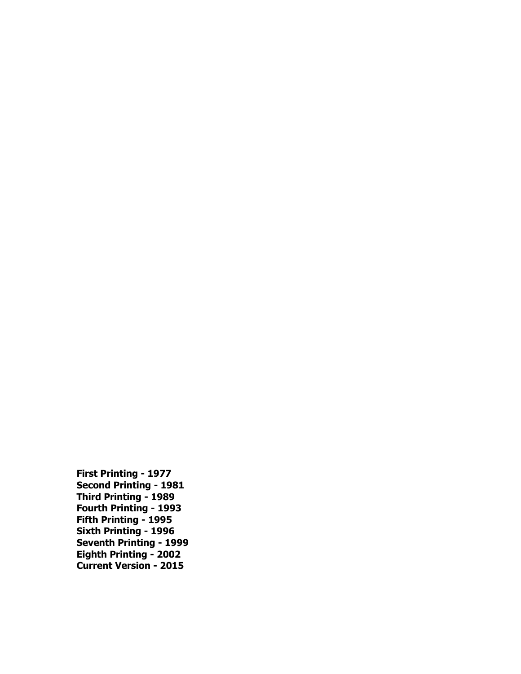**First Printing - 1977 Second Printing - 1981 Third Printing - 1989 Fourth Printing - 1993 Fifth Printing - 1995 Sixth Printing - 1996 Seventh Printing - 1999 Eighth Printing - 2002 Current Version - 2015**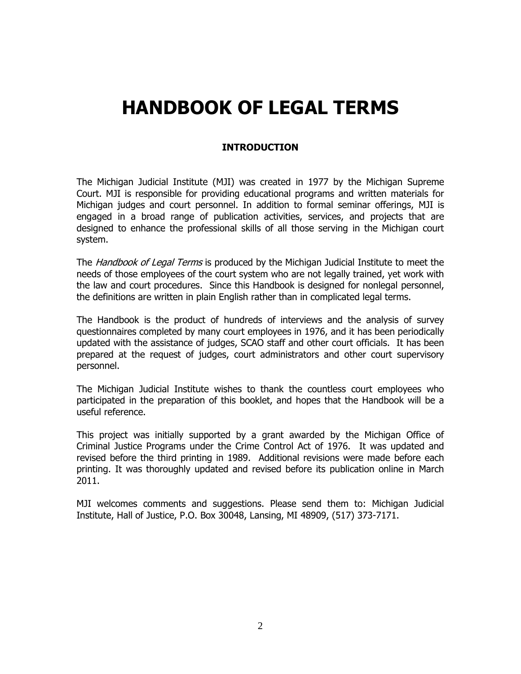# **HANDBOOK OF LEGAL TERMS**

# **INTRODUCTION**

The Michigan Judicial Institute (MJI) was created in 1977 by the Michigan Supreme Court. MJI is responsible for providing educational programs and written materials for Michigan judges and court personnel. In addition to formal seminar offerings, MJI is engaged in a broad range of publication activities, services, and projects that are designed to enhance the professional skills of all those serving in the Michigan court system.

The *Handbook of Legal Terms* is produced by the Michigan Judicial Institute to meet the needs of those employees of the court system who are not legally trained, yet work with the law and court procedures. Since this Handbook is designed for nonlegal personnel, the definitions are written in plain English rather than in complicated legal terms.

The Handbook is the product of hundreds of interviews and the analysis of survey questionnaires completed by many court employees in 1976, and it has been periodically updated with the assistance of judges, SCAO staff and other court officials. It has been prepared at the request of judges, court administrators and other court supervisory personnel.

The Michigan Judicial Institute wishes to thank the countless court employees who participated in the preparation of this booklet, and hopes that the Handbook will be a useful reference.

This project was initially supported by a grant awarded by the Michigan Office of Criminal Justice Programs under the Crime Control Act of 1976. It was updated and revised before the third printing in 1989. Additional revisions were made before each printing. It was thoroughly updated and revised before its publication online in March 2011.

MJI welcomes comments and suggestions. Please send them to: Michigan Judicial Institute, Hall of Justice, P.O. Box 30048, Lansing, MI 48909, (517) 373-7171.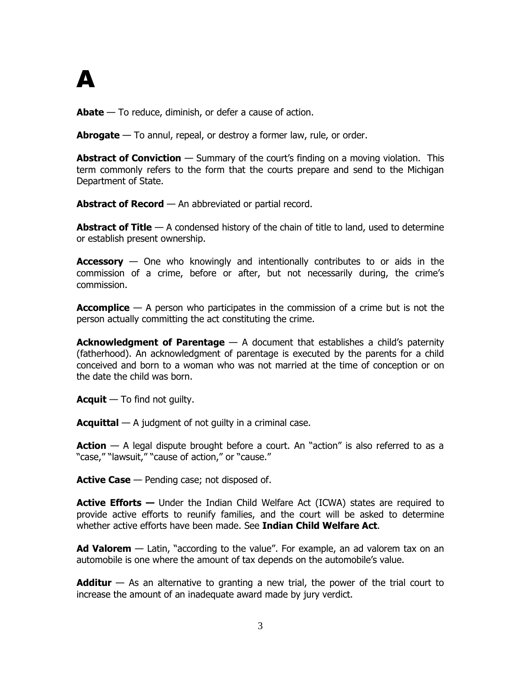

**Abate** — To reduce, diminish, or defer a cause of action.

**Abrogate** — To annul, repeal, or destroy a former law, rule, or order.

**Abstract of Conviction** — Summary of the court's finding on a moving violation. This term commonly refers to the form that the courts prepare and send to the Michigan Department of State.

**Abstract of Record** — An abbreviated or partial record.

**Abstract of Title** — A condensed history of the chain of title to land, used to determine or establish present ownership.

**Accessory** — One who knowingly and intentionally contributes to or aids in the commission of a crime, before or after, but not necessarily during, the crime's commission.

**Accomplice** — A person who participates in the commission of a crime but is not the person actually committing the act constituting the crime.

**Acknowledgment of Parentage** — A document that establishes a child's paternity (fatherhood). An acknowledgment of parentage is executed by the parents for a child conceived and born to a woman who was not married at the time of conception or on the date the child was born.

**Acquit** — To find not guilty.

**Acquittal** — A judgment of not guilty in a criminal case.

**Action** — A legal dispute brought before a court. An "action" is also referred to as a "case," "lawsuit," "cause of action," or "cause."

**Active Case** — Pending case; not disposed of.

**Active Efforts —** Under the Indian Child Welfare Act (ICWA) states are required to provide active efforts to reunify families, and the court will be asked to determine whether active efforts have been made. See **Indian Child Welfare Act**.

**Ad Valorem** — Latin, "according to the value". For example, an ad valorem tax on an automobile is one where the amount of tax depends on the automobile's value.

**Additur** — As an alternative to granting a new trial, the power of the trial court to increase the amount of an inadequate award made by jury verdict.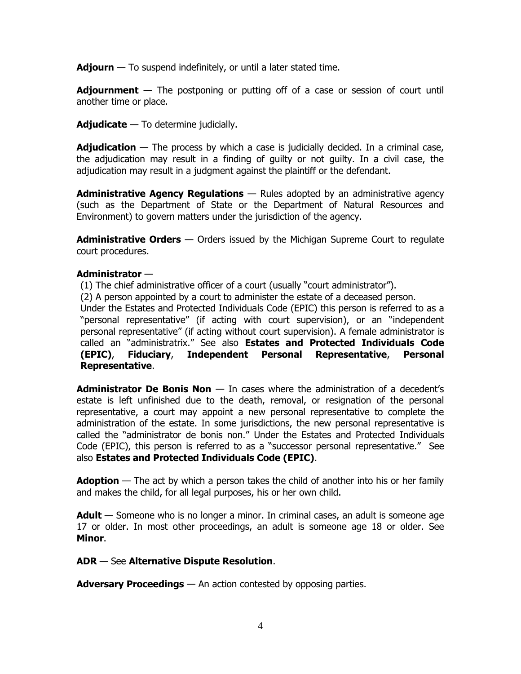**Adjourn** — To suspend indefinitely, or until a later stated time.

**Adjournment** — The postponing or putting off of a case or session of court until another time or place.

**Adjudicate** — To determine judicially.

**Adjudication** — The process by which a case is judicially decided. In a criminal case, the adjudication may result in a finding of guilty or not guilty. In a civil case, the adjudication may result in a judgment against the plaintiff or the defendant.

**Administrative Agency Regulations** — Rules adopted by an administrative agency (such as the Department of State or the Department of Natural Resources and Environment) to govern matters under the jurisdiction of the agency.

**Administrative Orders** — Orders issued by the Michigan Supreme Court to regulate court procedures.

#### **Administrator** —

(1) The chief administrative officer of a court (usually "court administrator").

(2) A person appointed by a court to administer the estate of a deceased person.

Under the Estates and Protected Individuals Code (EPIC) this person is referred to as a "personal representative" (if acting with court supervision), or an "independent personal representative" (if acting without court supervision). A female administrator is called an "administratrix." See also **Estates and Protected Individuals Code (EPIC)**, **Fiduciary**, **Independent Personal Representative**, **Personal Representative**.

**Administrator De Bonis Non** — In cases where the administration of a decedent's estate is left unfinished due to the death, removal, or resignation of the personal representative, a court may appoint a new personal representative to complete the administration of the estate. In some jurisdictions, the new personal representative is called the "administrator de bonis non." Under the Estates and Protected Individuals Code (EPIC), this person is referred to as a "successor personal representative." See also **Estates and Protected Individuals Code (EPIC)**.

**Adoption** — The act by which a person takes the child of another into his or her family and makes the child, for all legal purposes, his or her own child.

**Adult** — Someone who is no longer a minor. In criminal cases, an adult is someone age 17 or older. In most other proceedings, an adult is someone age 18 or older. See **Minor**.

# **ADR** — See **Alternative Dispute Resolution**.

**Adversary Proceedings** — An action contested by opposing parties.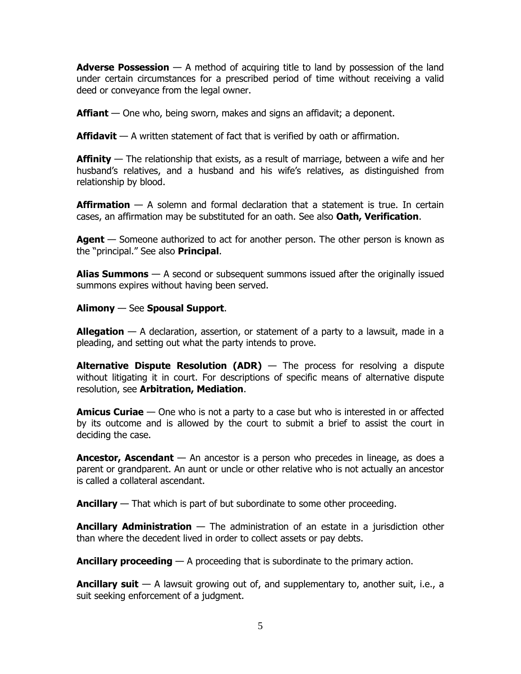**Adverse Possession** — A method of acquiring title to land by possession of the land under certain circumstances for a prescribed period of time without receiving a valid deed or conveyance from the legal owner.

**Affiant** — One who, being sworn, makes and signs an affidavit; a deponent.

**Affidavit** — A written statement of fact that is verified by oath or affirmation.

**Affinity** — The relationship that exists, as a result of marriage, between a wife and her husband's relatives, and a husband and his wife's relatives, as distinguished from relationship by blood.

**Affirmation** — A solemn and formal declaration that a statement is true. In certain cases, an affirmation may be substituted for an oath. See also **Oath, Verification**.

**Agent** — Someone authorized to act for another person. The other person is known as the "principal." See also **Principal**.

**Alias Summons** — A second or subsequent summons issued after the originally issued summons expires without having been served.

**Alimony** — See **Spousal Support**.

**Allegation** — A declaration, assertion, or statement of a party to a lawsuit, made in a pleading, and setting out what the party intends to prove.

**Alternative Dispute Resolution (ADR)** — The process for resolving a dispute without litigating it in court. For descriptions of specific means of alternative dispute resolution, see **Arbitration, Mediation**.

**Amicus Curiae** — One who is not a party to a case but who is interested in or affected by its outcome and is allowed by the court to submit a brief to assist the court in deciding the case.

**Ancestor, Ascendant** — An ancestor is a person who precedes in lineage, as does a parent or grandparent. An aunt or uncle or other relative who is not actually an ancestor is called a collateral ascendant.

**Ancillary** — That which is part of but subordinate to some other proceeding.

**Ancillary Administration** — The administration of an estate in a jurisdiction other than where the decedent lived in order to collect assets or pay debts.

**Ancillary proceeding** — A proceeding that is subordinate to the primary action.

**Ancillary suit** — A lawsuit growing out of, and supplementary to, another suit, i.e., a suit seeking enforcement of a judgment.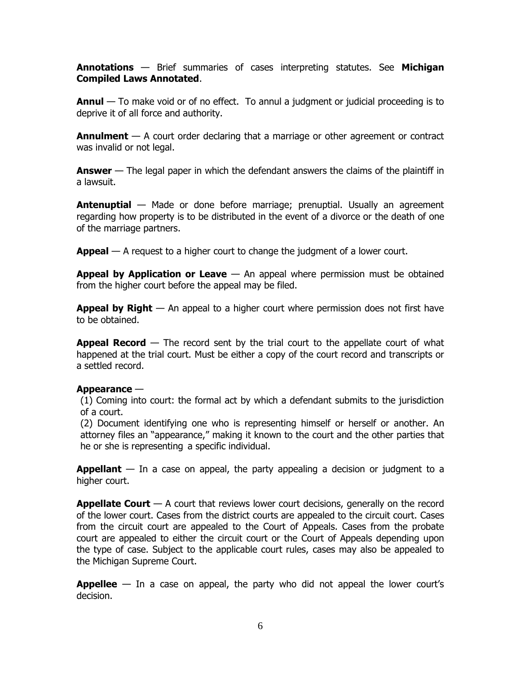**Annotations** — Brief summaries of cases interpreting statutes. See **Michigan Compiled Laws Annotated**.

**Annul** — To make void or of no effect. To annul a judgment or judicial proceeding is to deprive it of all force and authority.

**Annulment** — A court order declaring that a marriage or other agreement or contract was invalid or not legal.

**Answer** — The legal paper in which the defendant answers the claims of the plaintiff in a lawsuit.

**Antenuptial** — Made or done before marriage; prenuptial. Usually an agreement regarding how property is to be distributed in the event of a divorce or the death of one of the marriage partners.

**Appeal** — A request to a higher court to change the judgment of a lower court.

**Appeal by Application or Leave** — An appeal where permission must be obtained from the higher court before the appeal may be filed.

**Appeal by Right** — An appeal to a higher court where permission does not first have to be obtained.

**Appeal Record** — The record sent by the trial court to the appellate court of what happened at the trial court. Must be either a copy of the court record and transcripts or a settled record.

# **Appearance** —

(1) Coming into court: the formal act by which a defendant submits to the jurisdiction of a court.

(2) Document identifying one who is representing himself or herself or another. An attorney files an "appearance," making it known to the court and the other parties that he or she is representing a specific individual.

**Appellant** — In a case on appeal, the party appealing a decision or judgment to a higher court.

**Appellate Court** — A court that reviews lower court decisions, generally on the record of the lower court. Cases from the district courts are appealed to the circuit court. Cases from the circuit court are appealed to the Court of Appeals. Cases from the probate court are appealed to either the circuit court or the Court of Appeals depending upon the type of case. Subject to the applicable court rules, cases may also be appealed to the Michigan Supreme Court.

**Appellee** — In a case on appeal, the party who did not appeal the lower court's decision.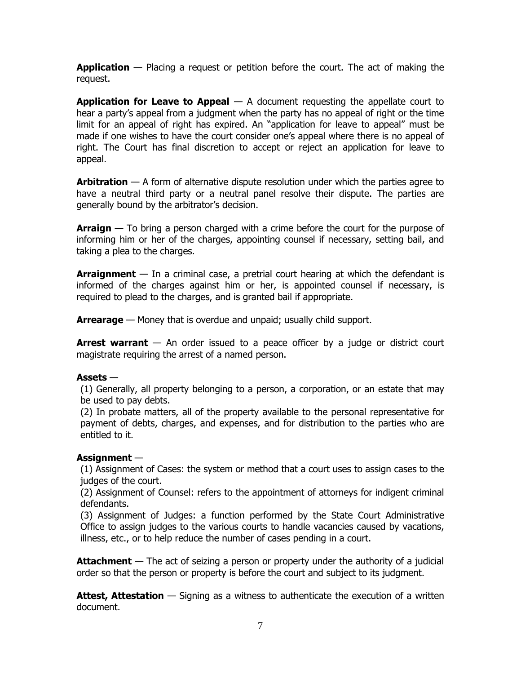**Application** — Placing a request or petition before the court. The act of making the request.

**Application for Leave to Appeal** — A document requesting the appellate court to hear a party's appeal from a judgment when the party has no appeal of right or the time limit for an appeal of right has expired. An "application for leave to appeal" must be made if one wishes to have the court consider one's appeal where there is no appeal of right. The Court has final discretion to accept or reject an application for leave to appeal.

**Arbitration** — A form of alternative dispute resolution under which the parties agree to have a neutral third party or a neutral panel resolve their dispute. The parties are generally bound by the arbitrator's decision.

**Arraign** — To bring a person charged with a crime before the court for the purpose of informing him or her of the charges, appointing counsel if necessary, setting bail, and taking a plea to the charges.

**Arraignment** — In a criminal case, a pretrial court hearing at which the defendant is informed of the charges against him or her, is appointed counsel if necessary, is required to plead to the charges, and is granted bail if appropriate.

**Arrearage** — Money that is overdue and unpaid; usually child support.

**Arrest warrant** — An order issued to a peace officer by a judge or district court magistrate requiring the arrest of a named person.

# **Assets** —

(1) Generally, all property belonging to a person, a corporation, or an estate that may be used to pay debts.

(2) In probate matters, all of the property available to the personal representative for payment of debts, charges, and expenses, and for distribution to the parties who are entitled to it.

# **Assignment** —

(1) Assignment of Cases: the system or method that a court uses to assign cases to the judges of the court.

(2) Assignment of Counsel: refers to the appointment of attorneys for indigent criminal defendants.

(3) Assignment of Judges: a function performed by the State Court Administrative Office to assign judges to the various courts to handle vacancies caused by vacations, illness, etc., or to help reduce the number of cases pending in a court.

**Attachment** — The act of seizing a person or property under the authority of a judicial order so that the person or property is before the court and subject to its judgment.

**Attest, Attestation** — Signing as a witness to authenticate the execution of a written document.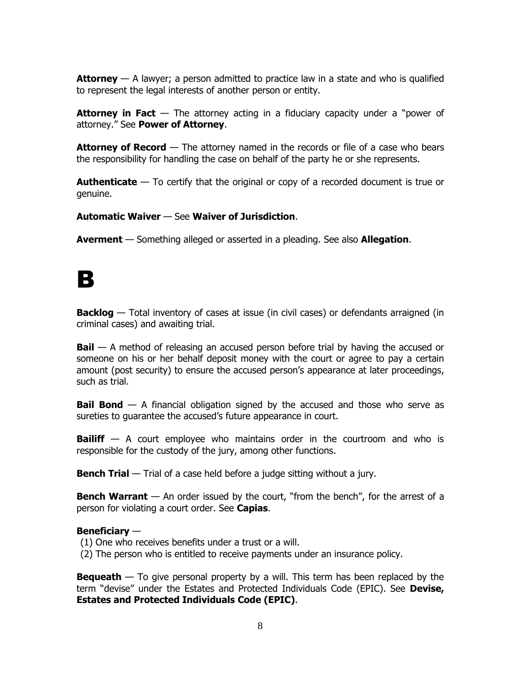**Attorney** — A lawyer; a person admitted to practice law in a state and who is qualified to represent the legal interests of another person or entity.

**Attorney in Fact** — The attorney acting in a fiduciary capacity under a "power of attorney." See **Power of Attorney**.

**Attorney of Record** — The attorney named in the records or file of a case who bears the responsibility for handling the case on behalf of the party he or she represents.

**Authenticate** — To certify that the original or copy of a recorded document is true or genuine.

# **Automatic Waiver** — See **Waiver of Jurisdiction**.

**Averment** — Something alleged or asserted in a pleading. See also **Allegation**.

# B

**Backlog** — Total inventory of cases at issue (in civil cases) or defendants arraigned (in criminal cases) and awaiting trial.

**Bail** — A method of releasing an accused person before trial by having the accused or someone on his or her behalf deposit money with the court or agree to pay a certain amount (post security) to ensure the accused person's appearance at later proceedings, such as trial.

**Bail Bond** — A financial obligation signed by the accused and those who serve as sureties to guarantee the accused's future appearance in court.

**Bailiff** — A court employee who maintains order in the courtroom and who is responsible for the custody of the jury, among other functions.

**Bench Trial** — Trial of a case held before a judge sitting without a jury.

**Bench Warrant** — An order issued by the court, "from the bench", for the arrest of a person for violating a court order. See **Capias**.

# **Beneficiary** —

(1) One who receives benefits under a trust or a will.

(2) The person who is entitled to receive payments under an insurance policy.

**Bequeath** — To give personal property by a will. This term has been replaced by the term "devise" under the Estates and Protected Individuals Code (EPIC). See **Devise, Estates and Protected Individuals Code (EPIC)**.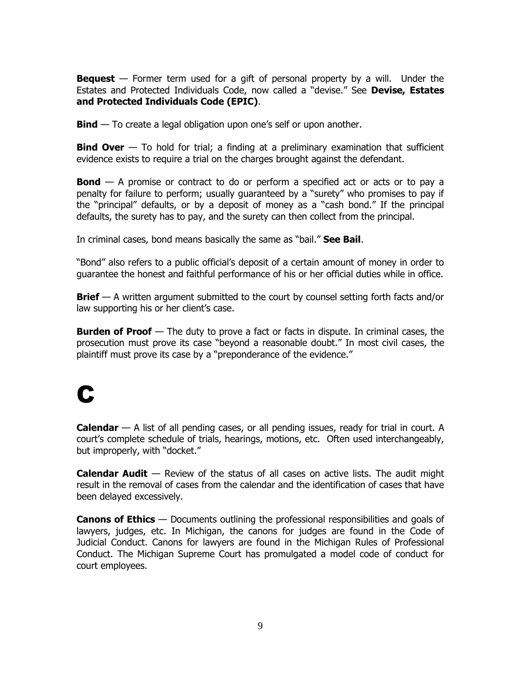**Bequest** — Former term used for a gift of personal property by a will. Under the Estates and Protected Individuals Code, now called a "devise." See **Devise, Estates and Protected Individuals Code (EPIC)**.

**Bind** — To create a legal obligation upon one's self or upon another.

**Bind Over** — To hold for trial; a finding at a preliminary examination that sufficient evidence exists to require a trial on the charges brought against the defendant.

**Bond** — A promise or contract to do or perform a specified act or acts or to pay a penalty for failure to perform; usually guaranteed by a "surety" who promises to pay if the "principal" defaults, or by a deposit of money as a "cash bond." If the principal defaults, the surety has to pay, and the surety can then collect from the principal.

In criminal cases, bond means basically the same as "bail." **See Bail**.

"Bond" also refers to a public official's deposit of a certain amount of money in order to guarantee the honest and faithful performance of his or her official duties while in office.

**Brief** — A written argument submitted to the court by counsel setting forth facts and/or law supporting his or her client's case.

**Burden of Proof** — The duty to prove a fact or facts in dispute. In criminal cases, the prosecution must prove its case "beyond a reasonable doubt." In most civil cases, the plaintiff must prove its case by a "preponderance of the evidence."

# **C**

**Calendar** — A list of all pending cases, or all pending issues, ready for trial in court. A court's complete schedule of trials, hearings, motions, etc. Often used interchangeably, but improperly, with "docket."

**Calendar Audit** — Review of the status of all cases on active lists. The audit might result in the removal of cases from the calendar and the identification of cases that have been delayed excessively.

**Canons of Ethics** — Documents outlining the professional responsibilities and goals of lawyers, judges, etc. In Michigan, the canons for judges are found in the Code of Judicial Conduct. Canons for lawyers are found in the Michigan Rules of Professional Conduct. The Michigan Supreme Court has promulgated a model code of conduct for court employees.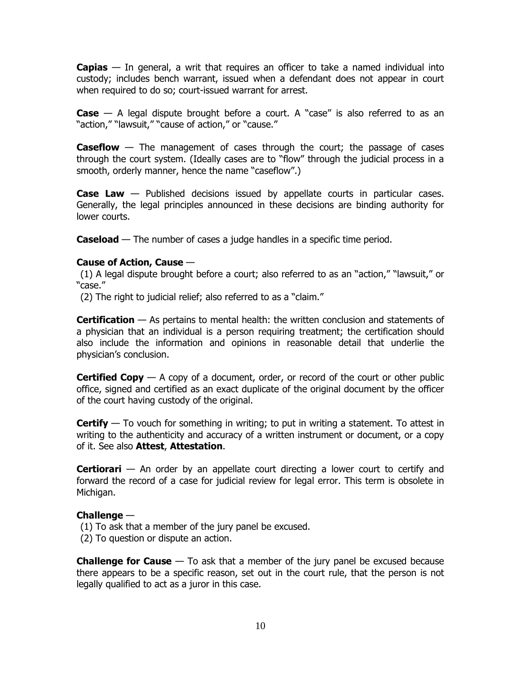**Capias** — In general, a writ that requires an officer to take a named individual into custody; includes bench warrant, issued when a defendant does not appear in court when required to do so; court-issued warrant for arrest.

**Case** — A legal dispute brought before a court. A "case" is also referred to as an "action," "lawsuit," "cause of action," or "cause."

**Caseflow** — The management of cases through the court; the passage of cases through the court system. (Ideally cases are to "flow" through the judicial process in a smooth, orderly manner, hence the name "caseflow".)

**Case Law** — Published decisions issued by appellate courts in particular cases. Generally, the legal principles announced in these decisions are binding authority for lower courts.

**Caseload** — The number of cases a judge handles in a specific time period.

# **Cause of Action, Cause** —

(1) A legal dispute brought before a court; also referred to as an "action," "lawsuit," or "case."

(2) The right to judicial relief; also referred to as a "claim."

**Certification** — As pertains to mental health: the written conclusion and statements of a physician that an individual is a person requiring treatment; the certification should also include the information and opinions in reasonable detail that underlie the physician's conclusion.

**Certified Copy** — A copy of a document, order, or record of the court or other public office, signed and certified as an exact duplicate of the original document by the officer of the court having custody of the original.

**Certify** — To vouch for something in writing; to put in writing a statement. To attest in writing to the authenticity and accuracy of a written instrument or document, or a copy of it. See also **Attest**, **Attestation**.

**Certiorari** — An order by an appellate court directing a lower court to certify and forward the record of a case for judicial review for legal error. This term is obsolete in Michigan.

# **Challenge** —

- (1) To ask that a member of the jury panel be excused.
- (2) To question or dispute an action.

**Challenge for Cause** — To ask that a member of the jury panel be excused because there appears to be a specific reason, set out in the court rule, that the person is not legally qualified to act as a juror in this case.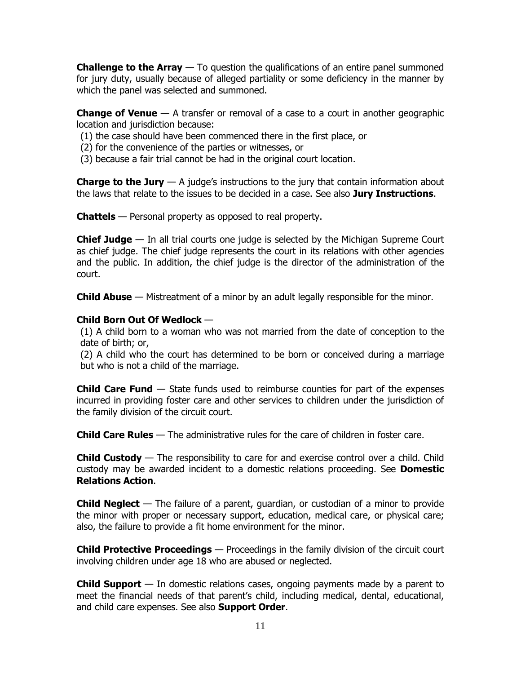**Challenge to the Array** — To question the qualifications of an entire panel summoned for jury duty, usually because of alleged partiality or some deficiency in the manner by which the panel was selected and summoned.

**Change of Venue** — A transfer or removal of a case to a court in another geographic location and jurisdiction because:

- (1) the case should have been commenced there in the first place, or
- (2) for the convenience of the parties or witnesses, or
- (3) because a fair trial cannot be had in the original court location.

**Charge to the Jury** — A judge's instructions to the jury that contain information about the laws that relate to the issues to be decided in a case. See also **Jury Instructions**.

**Chattels** — Personal property as opposed to real property.

**Chief Judge** — In all trial courts one judge is selected by the Michigan Supreme Court as chief judge. The chief judge represents the court in its relations with other agencies and the public. In addition, the chief judge is the director of the administration of the court.

**Child Abuse** — Mistreatment of a minor by an adult legally responsible for the minor.

# **Child Born Out Of Wedlock** —

(1) A child born to a woman who was not married from the date of conception to the date of birth; or,

(2) A child who the court has determined to be born or conceived during a marriage but who is not a child of the marriage.

**Child Care Fund** — State funds used to reimburse counties for part of the expenses incurred in providing foster care and other services to children under the jurisdiction of the family division of the circuit court.

**Child Care Rules** — The administrative rules for the care of children in foster care.

**Child Custody** — The responsibility to care for and exercise control over a child. Child custody may be awarded incident to a domestic relations proceeding. See **Domestic Relations Action**.

**Child Neglect** — The failure of a parent, guardian, or custodian of a minor to provide the minor with proper or necessary support, education, medical care, or physical care; also, the failure to provide a fit home environment for the minor.

**Child Protective Proceedings** — Proceedings in the family division of the circuit court involving children under age 18 who are abused or neglected.

**Child Support** — In domestic relations cases, ongoing payments made by a parent to meet the financial needs of that parent's child, including medical, dental, educational, and child care expenses. See also **Support Order**.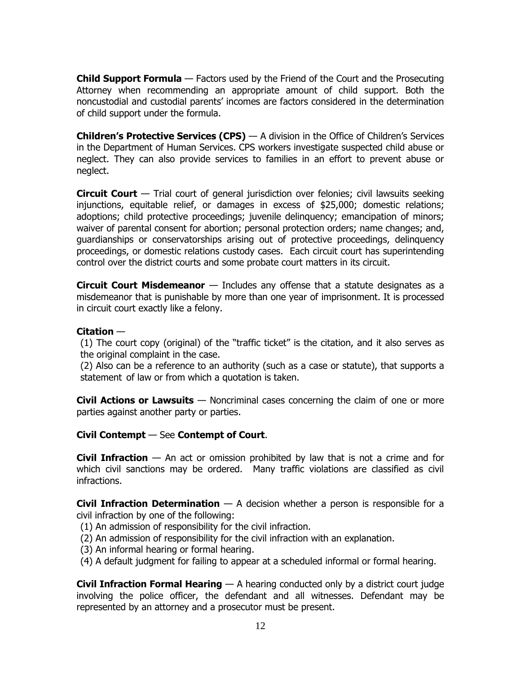**Child Support Formula** — Factors used by the Friend of the Court and the Prosecuting Attorney when recommending an appropriate amount of child support. Both the noncustodial and custodial parents' incomes are factors considered in the determination of child support under the formula.

**Children's Protective Services (CPS)** — A division in the Office of Children's Services in the Department of Human Services. CPS workers investigate suspected child abuse or neglect. They can also provide services to families in an effort to prevent abuse or neglect.

**Circuit Court** — Trial court of general jurisdiction over felonies; civil lawsuits seeking injunctions, equitable relief, or damages in excess of \$25,000; domestic relations; adoptions; child protective proceedings; juvenile delinquency; emancipation of minors; waiver of parental consent for abortion; personal protection orders; name changes; and, guardianships or conservatorships arising out of protective proceedings, delinquency proceedings, or domestic relations custody cases. Each circuit court has superintending control over the district courts and some probate court matters in its circuit.

**Circuit Court Misdemeanor** — Includes any offense that a statute designates as a misdemeanor that is punishable by more than one year of imprisonment. It is processed in circuit court exactly like a felony.

# **Citation** —

(1) The court copy (original) of the "traffic ticket" is the citation, and it also serves as the original complaint in the case.

(2) Also can be a reference to an authority (such as a case or statute), that supports a statement of law or from which a quotation is taken.

**Civil Actions or Lawsuits** — Noncriminal cases concerning the claim of one or more parties against another party or parties.

# **Civil Contempt** — See **Contempt of Court**.

**Civil Infraction** — An act or omission prohibited by law that is not a crime and for which civil sanctions may be ordered. Many traffic violations are classified as civil infractions.

**Civil Infraction Determination** — A decision whether a person is responsible for a civil infraction by one of the following:

- (1) An admission of responsibility for the civil infraction.
- (2) An admission of responsibility for the civil infraction with an explanation.
- (3) An informal hearing or formal hearing.
- (4) A default judgment for failing to appear at a scheduled informal or formal hearing.

**Civil Infraction Formal Hearing** — A hearing conducted only by a district court judge involving the police officer, the defendant and all witnesses. Defendant may be represented by an attorney and a prosecutor must be present.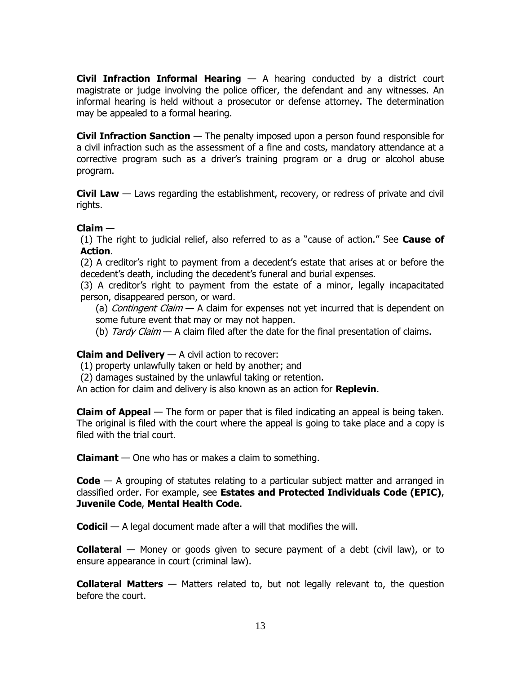**Civil Infraction Informal Hearing** — A hearing conducted by a district court magistrate or judge involving the police officer, the defendant and any witnesses. An informal hearing is held without a prosecutor or defense attorney. The determination may be appealed to a formal hearing.

**Civil Infraction Sanction** — The penalty imposed upon a person found responsible for a civil infraction such as the assessment of a fine and costs, mandatory attendance at a corrective program such as a driver's training program or a drug or alcohol abuse program.

**Civil Law** — Laws regarding the establishment, recovery, or redress of private and civil rights.

# **Claim** —

(1) The right to judicial relief, also referred to as a "cause of action." See **Cause of Action**.

(2) A creditor's right to payment from a decedent's estate that arises at or before the decedent's death, including the decedent's funeral and burial expenses.

(3) A creditor's right to payment from the estate of a minor, legally incapacitated person, disappeared person, or ward.

(a) Contingent Claim  $-$  A claim for expenses not yet incurred that is dependent on some future event that may or may not happen.

(b) Tardy Claim  $-$  A claim filed after the date for the final presentation of claims.

# **Claim and Delivery** — A civil action to recover:

(1) property unlawfully taken or held by another; and

(2) damages sustained by the unlawful taking or retention.

An action for claim and delivery is also known as an action for **Replevin**.

**Claim of Appeal** — The form or paper that is filed indicating an appeal is being taken. The original is filed with the court where the appeal is going to take place and a copy is filed with the trial court.

**Claimant** — One who has or makes a claim to something.

**Code** — A grouping of statutes relating to a particular subject matter and arranged in classified order. For example, see **Estates and Protected Individuals Code (EPIC)**, **Juvenile Code**, **Mental Health Code**.

**Codicil** — A legal document made after a will that modifies the will.

**Collateral** — Money or goods given to secure payment of a debt (civil law), or to ensure appearance in court (criminal law).

**Collateral Matters** — Matters related to, but not legally relevant to, the question before the court.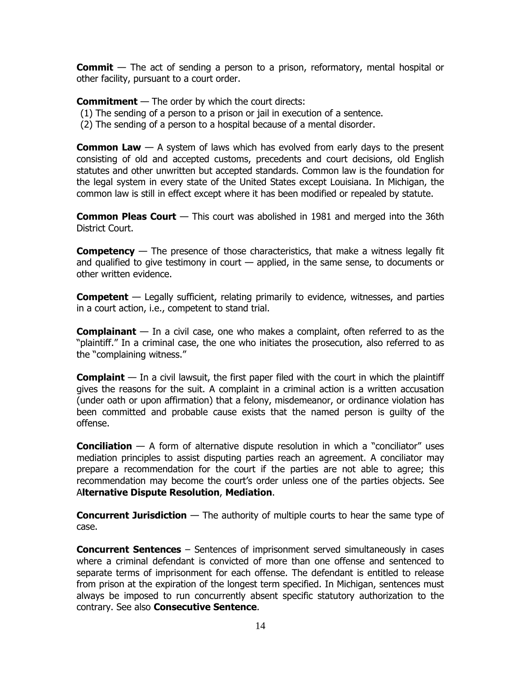**Commit** — The act of sending a person to a prison, reformatory, mental hospital or other facility, pursuant to a court order.

**Commitment** — The order by which the court directs:

- (1) The sending of a person to a prison or jail in execution of a sentence.
- (2) The sending of a person to a hospital because of a mental disorder.

**Common Law** — A system of laws which has evolved from early days to the present consisting of old and accepted customs, precedents and court decisions, old English statutes and other unwritten but accepted standards. Common law is the foundation for the legal system in every state of the United States except Louisiana. In Michigan, the common law is still in effect except where it has been modified or repealed by statute.

**Common Pleas Court** — This court was abolished in 1981 and merged into the 36th District Court.

**Competency** — The presence of those characteristics, that make a witness legally fit and qualified to give testimony in court — applied, in the same sense, to documents or other written evidence.

**Competent** — Legally sufficient, relating primarily to evidence, witnesses, and parties in a court action, i.e., competent to stand trial.

**Complainant** — In a civil case, one who makes a complaint, often referred to as the "plaintiff." In a criminal case, the one who initiates the prosecution, also referred to as the "complaining witness."

**Complaint** — In a civil lawsuit, the first paper filed with the court in which the plaintiff gives the reasons for the suit. A complaint in a criminal action is a written accusation (under oath or upon affirmation) that a felony, misdemeanor, or ordinance violation has been committed and probable cause exists that the named person is guilty of the offense.

**Conciliation** — A form of alternative dispute resolution in which a "conciliator" uses mediation principles to assist disputing parties reach an agreement. A conciliator may prepare a recommendation for the court if the parties are not able to agree; this recommendation may become the court's order unless one of the parties objects. See A**lternative Dispute Resolution**, **Mediation**.

**Concurrent Jurisdiction** — The authority of multiple courts to hear the same type of case.

**Concurrent Sentences** – Sentences of imprisonment served simultaneously in cases where a criminal defendant is convicted of more than one offense and sentenced to separate terms of imprisonment for each offense. The defendant is entitled to release from prison at the expiration of the longest term specified. In Michigan, sentences must always be imposed to run concurrently absent specific statutory authorization to the contrary. See also **Consecutive Sentence**.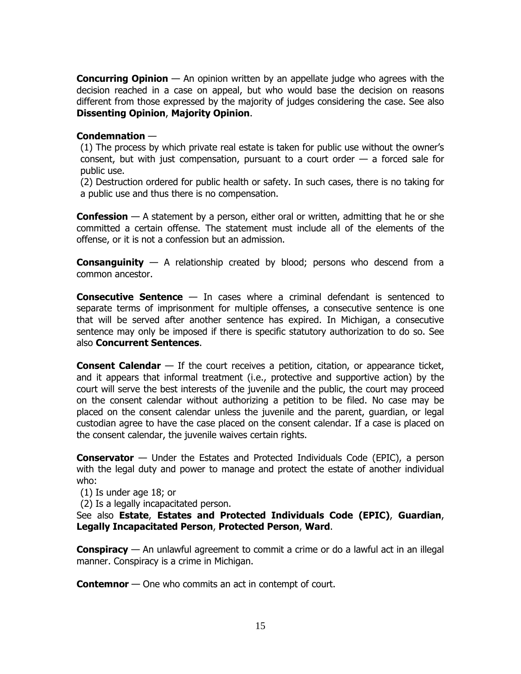**Concurring Opinion** — An opinion written by an appellate judge who agrees with the decision reached in a case on appeal, but who would base the decision on reasons different from those expressed by the majority of judges considering the case. See also **Dissenting Opinion**, **Majority Opinion**.

# **Condemnation** —

(1) The process by which private real estate is taken for public use without the owner's consent, but with just compensation, pursuant to a court order  $-$  a forced sale for public use.

(2) Destruction ordered for public health or safety. In such cases, there is no taking for a public use and thus there is no compensation.

**Confession** — A statement by a person, either oral or written, admitting that he or she committed a certain offense. The statement must include all of the elements of the offense, or it is not a confession but an admission.

**Consanguinity** — A relationship created by blood; persons who descend from a common ancestor.

**Consecutive Sentence** — In cases where a criminal defendant is sentenced to separate terms of imprisonment for multiple offenses, a consecutive sentence is one that will be served after another sentence has expired. In Michigan, a consecutive sentence may only be imposed if there is specific statutory authorization to do so. See also **Concurrent Sentences**.

**Consent Calendar** — If the court receives a petition, citation, or appearance ticket, and it appears that informal treatment (i.e., protective and supportive action) by the court will serve the best interests of the juvenile and the public, the court may proceed on the consent calendar without authorizing a petition to be filed. No case may be placed on the consent calendar unless the juvenile and the parent, guardian, or legal custodian agree to have the case placed on the consent calendar. If a case is placed on the consent calendar, the juvenile waives certain rights.

**Conservator** — Under the Estates and Protected Individuals Code (EPIC), a person with the legal duty and power to manage and protect the estate of another individual who:

(1) Is under age 18; or

(2) Is a legally incapacitated person.

See also **Estate**, **Estates and Protected Individuals Code (EPIC)**, **Guardian**, **Legally Incapacitated Person**, **Protected Person**, **Ward**.

**Conspiracy** — An unlawful agreement to commit a crime or do a lawful act in an illegal manner. Conspiracy is a crime in Michigan.

**Contemnor** — One who commits an act in contempt of court.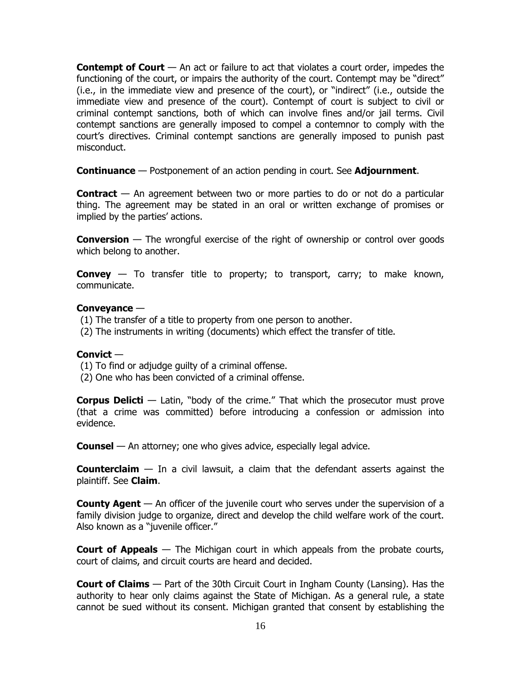**Contempt of Court** — An act or failure to act that violates a court order, impedes the functioning of the court, or impairs the authority of the court. Contempt may be "direct" (i.e., in the immediate view and presence of the court), or "indirect" (i.e., outside the immediate view and presence of the court). Contempt of court is subject to civil or criminal contempt sanctions, both of which can involve fines and/or jail terms. Civil contempt sanctions are generally imposed to compel a contemnor to comply with the court's directives. Criminal contempt sanctions are generally imposed to punish past misconduct.

**Continuance** — Postponement of an action pending in court. See **Adjournment**.

**Contract** — An agreement between two or more parties to do or not do a particular thing. The agreement may be stated in an oral or written exchange of promises or implied by the parties' actions.

**Conversion** — The wrongful exercise of the right of ownership or control over goods which belong to another.

**Convey** — To transfer title to property; to transport, carry; to make known, communicate.

# **Conveyance** —

- (1) The transfer of a title to property from one person to another.
- (2) The instruments in writing (documents) which effect the transfer of title.

# **Convict** —

- (1) To find or adjudge guilty of a criminal offense.
- (2) One who has been convicted of a criminal offense.

**Corpus Delicti** — Latin, "body of the crime." That which the prosecutor must prove (that a crime was committed) before introducing a confession or admission into evidence.

**Counsel** — An attorney; one who gives advice, especially legal advice.

**Counterclaim** — In a civil lawsuit, a claim that the defendant asserts against the plaintiff. See **Claim**.

**County Agent** — An officer of the juvenile court who serves under the supervision of a family division judge to organize, direct and develop the child welfare work of the court. Also known as a "juvenile officer."

**Court of Appeals** — The Michigan court in which appeals from the probate courts, court of claims, and circuit courts are heard and decided.

**Court of Claims** — Part of the 30th Circuit Court in Ingham County (Lansing). Has the authority to hear only claims against the State of Michigan. As a general rule, a state cannot be sued without its consent. Michigan granted that consent by establishing the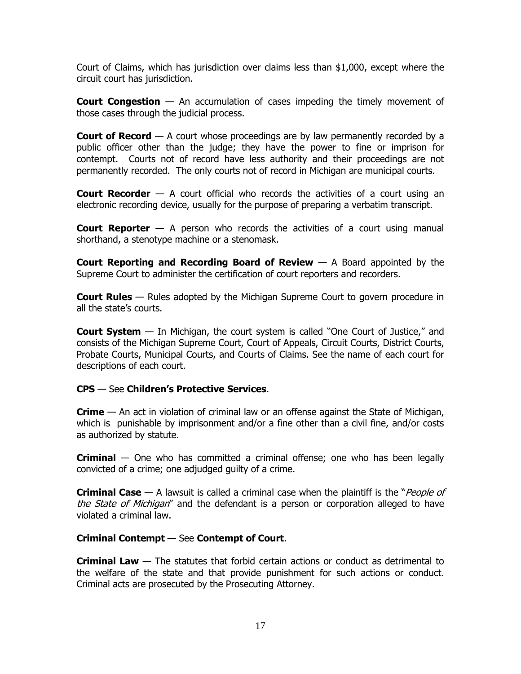Court of Claims, which has jurisdiction over claims less than \$1,000, except where the circuit court has jurisdiction.

**Court Congestion** — An accumulation of cases impeding the timely movement of those cases through the judicial process.

**Court of Record** — A court whose proceedings are by law permanently recorded by a public officer other than the judge; they have the power to fine or imprison for contempt. Courts not of record have less authority and their proceedings are not permanently recorded. The only courts not of record in Michigan are municipal courts.

**Court Recorder** — A court official who records the activities of a court using an electronic recording device, usually for the purpose of preparing a verbatim transcript.

**Court Reporter** — A person who records the activities of a court using manual shorthand, a stenotype machine or a stenomask.

**Court Reporting and Recording Board of Review** — A Board appointed by the Supreme Court to administer the certification of court reporters and recorders.

**Court Rules** — Rules adopted by the Michigan Supreme Court to govern procedure in all the state's courts.

**Court System** — In Michigan, the court system is called "One Court of Justice," and consists of the Michigan Supreme Court, Court of Appeals, Circuit Courts, District Courts, Probate Courts, Municipal Courts, and Courts of Claims. See the name of each court for descriptions of each court.

# **CPS** — See **Children's Protective Services**.

**Crime** — An act in violation of criminal law or an offense against the State of Michigan, which is punishable by imprisonment and/or a fine other than a civil fine, and/or costs as authorized by statute.

**Criminal** — One who has committed a criminal offense; one who has been legally convicted of a crime; one adjudged guilty of a crime.

**Criminal Case** — A lawsuit is called a criminal case when the plaintiff is the "*People of* the State of Michigan" and the defendant is a person or corporation alleged to have violated a criminal law.

# **Criminal Contempt** — See **Contempt of Court**.

**Criminal Law** — The statutes that forbid certain actions or conduct as detrimental to the welfare of the state and that provide punishment for such actions or conduct. Criminal acts are prosecuted by the Prosecuting Attorney.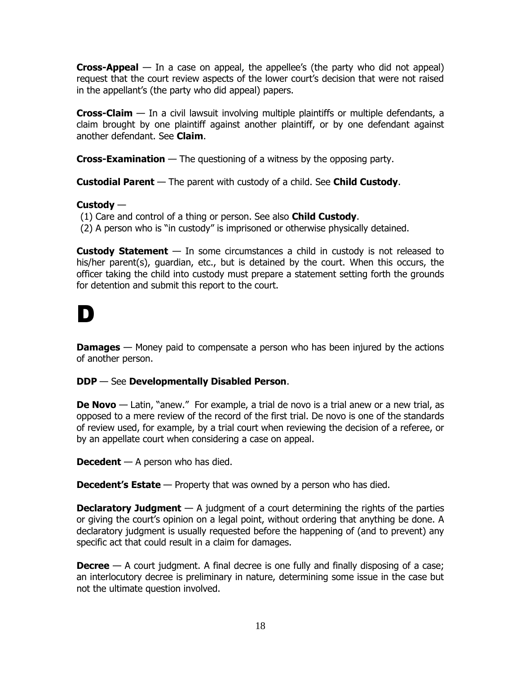**Cross-Appeal** — In a case on appeal, the appellee's (the party who did not appeal) request that the court review aspects of the lower court's decision that were not raised in the appellant's (the party who did appeal) papers.

**Cross-Claim** — In a civil lawsuit involving multiple plaintiffs or multiple defendants, a claim brought by one plaintiff against another plaintiff, or by one defendant against another defendant. See **Claim**.

**Cross-Examination** — The questioning of a witness by the opposing party.

**Custodial Parent** — The parent with custody of a child. See **Child Custody**.

# **Custody** —

(1) Care and control of a thing or person. See also **Child Custody**.

(2) A person who is "in custody" is imprisoned or otherwise physically detained.

**Custody Statement** — In some circumstances a child in custody is not released to his/her parent(s), guardian, etc., but is detained by the court. When this occurs, the officer taking the child into custody must prepare a statement setting forth the grounds for detention and submit this report to the court.

# D

**Damages** — Money paid to compensate a person who has been injured by the actions of another person.

# **DDP** — See **Developmentally Disabled Person**.

**De Novo** — Latin, "anew." For example, a trial de novo is a trial anew or a new trial, as opposed to a mere review of the record of the first trial. De novo is one of the standards of review used, for example, by a trial court when reviewing the decision of a referee, or by an appellate court when considering a case on appeal.

**Decedent** — A person who has died.

**Decedent's Estate** — Property that was owned by a person who has died.

**Declaratory Judgment** — A judgment of a court determining the rights of the parties or giving the court's opinion on a legal point, without ordering that anything be done. A declaratory judgment is usually requested before the happening of (and to prevent) any specific act that could result in a claim for damages.

**Decree** — A court judgment. A final decree is one fully and finally disposing of a case; an interlocutory decree is preliminary in nature, determining some issue in the case but not the ultimate question involved.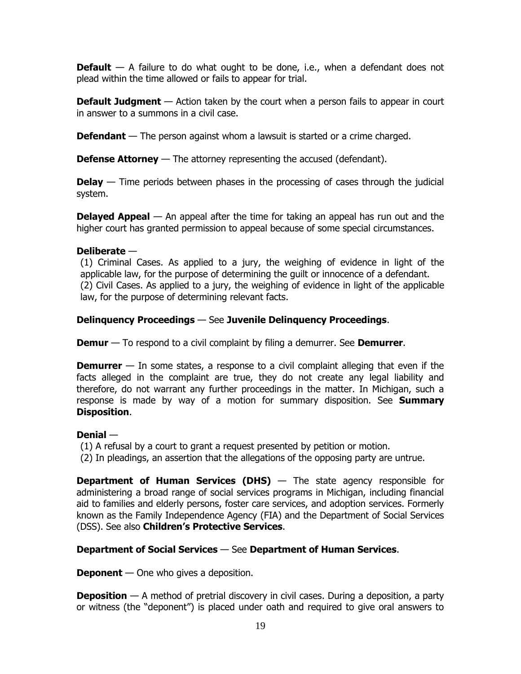**Default** — A failure to do what ought to be done, i.e., when a defendant does not plead within the time allowed or fails to appear for trial.

**Default Judgment** — Action taken by the court when a person fails to appear in court in answer to a summons in a civil case.

**Defendant** — The person against whom a lawsuit is started or a crime charged.

**Defense Attorney** — The attorney representing the accused (defendant).

**Delay** — Time periods between phases in the processing of cases through the judicial system.

**Delayed Appeal** — An appeal after the time for taking an appeal has run out and the higher court has granted permission to appeal because of some special circumstances.

# **Deliberate** —

(1) Criminal Cases. As applied to a jury, the weighing of evidence in light of the applicable law, for the purpose of determining the guilt or innocence of a defendant. (2) Civil Cases. As applied to a jury, the weighing of evidence in light of the applicable law, for the purpose of determining relevant facts.

# **Delinquency Proceedings** — See **Juvenile Delinquency Proceedings**.

**Demur** — To respond to a civil complaint by filing a demurrer. See **Demurrer**.

**Demurrer** — In some states, a response to a civil complaint alleging that even if the facts alleged in the complaint are true, they do not create any legal liability and therefore, do not warrant any further proceedings in the matter. In Michigan, such a response is made by way of a motion for summary disposition. See **Summary Disposition**.

# **Denial** —

(1) A refusal by a court to grant a request presented by petition or motion.

(2) In pleadings, an assertion that the allegations of the opposing party are untrue.

**Department of Human Services (DHS)** — The state agency responsible for administering a broad range of social services programs in Michigan, including financial aid to families and elderly persons, foster care services, and adoption services. Formerly known as the Family Independence Agency (FIA) and the Department of Social Services (DSS). See also **Children's Protective Services**.

# **Department of Social Services** — See **Department of Human Services**.

**Deponent** — One who gives a deposition.

**Deposition** — A method of pretrial discovery in civil cases. During a deposition, a party or witness (the "deponent") is placed under oath and required to give oral answers to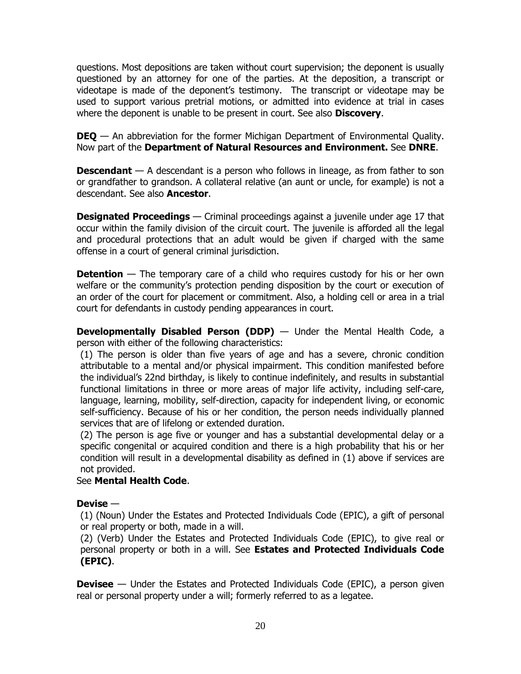questions. Most depositions are taken without court supervision; the deponent is usually questioned by an attorney for one of the parties. At the deposition, a transcript or videotape is made of the deponent's testimony. The transcript or videotape may be used to support various pretrial motions, or admitted into evidence at trial in cases where the deponent is unable to be present in court. See also **Discovery**.

**DEQ** — An abbreviation for the former Michigan Department of Environmental Quality. Now part of the **Department of Natural Resources and Environment.** See **DNRE**.

**Descendant** — A descendant is a person who follows in lineage, as from father to son or grandfather to grandson. A collateral relative (an aunt or uncle, for example) is not a descendant. See also **Ancestor**.

**Designated Proceedings** — Criminal proceedings against a juvenile under age 17 that occur within the family division of the circuit court. The juvenile is afforded all the legal and procedural protections that an adult would be given if charged with the same offense in a court of general criminal jurisdiction.

**Detention** — The temporary care of a child who requires custody for his or her own welfare or the community's protection pending disposition by the court or execution of an order of the court for placement or commitment. Also, a holding cell or area in a trial court for defendants in custody pending appearances in court.

**Developmentally Disabled Person (DDP)** — Under the Mental Health Code, a person with either of the following characteristics:

(1) The person is older than five years of age and has a severe, chronic condition attributable to a mental and/or physical impairment. This condition manifested before the individual's 22nd birthday, is likely to continue indefinitely, and results in substantial functional limitations in three or more areas of major life activity, including self-care, language, learning, mobility, self-direction, capacity for independent living, or economic self-sufficiency. Because of his or her condition, the person needs individually planned services that are of lifelong or extended duration.

(2) The person is age five or younger and has a substantial developmental delay or a specific congenital or acquired condition and there is a high probability that his or her condition will result in a developmental disability as defined in (1) above if services are not provided.

# See **Mental Health Code**.

# **Devise** —

(1) (Noun) Under the Estates and Protected Individuals Code (EPIC), a gift of personal or real property or both, made in a will.

(2) (Verb) Under the Estates and Protected Individuals Code (EPIC), to give real or personal property or both in a will. See **Estates and Protected Individuals Code (EPIC)**.

**Devisee** — Under the Estates and Protected Individuals Code (EPIC), a person given real or personal property under a will; formerly referred to as a legatee.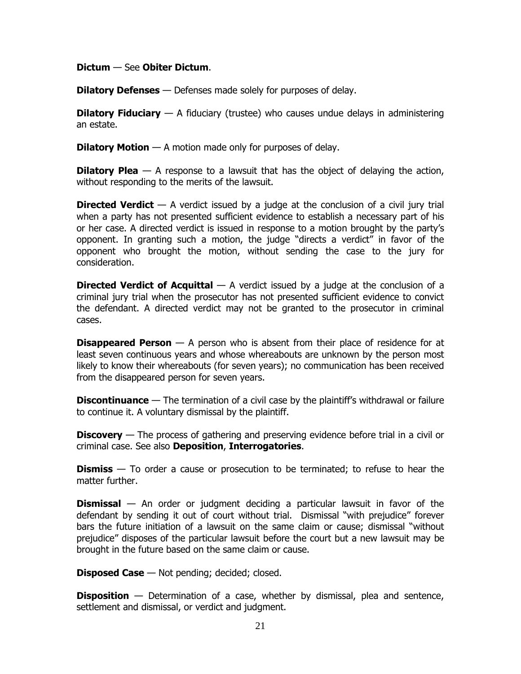#### **Dictum** — See **Obiter Dictum**.

**Dilatory Defenses** — Defenses made solely for purposes of delay.

**Dilatory Fiduciary** — A fiduciary (trustee) who causes undue delays in administering an estate.

**Dilatory Motion** — A motion made only for purposes of delay.

**Dilatory Plea** — A response to a lawsuit that has the object of delaying the action, without responding to the merits of the lawsuit.

**Directed Verdict** — A verdict issued by a judge at the conclusion of a civil jury trial when a party has not presented sufficient evidence to establish a necessary part of his or her case. A directed verdict is issued in response to a motion brought by the party's opponent. In granting such a motion, the judge "directs a verdict" in favor of the opponent who brought the motion, without sending the case to the jury for consideration.

**Directed Verdict of Acquittal** — A verdict issued by a judge at the conclusion of a criminal jury trial when the prosecutor has not presented sufficient evidence to convict the defendant. A directed verdict may not be granted to the prosecutor in criminal cases.

**Disappeared Person** — A person who is absent from their place of residence for at least seven continuous years and whose whereabouts are unknown by the person most likely to know their whereabouts (for seven years); no communication has been received from the disappeared person for seven years.

**Discontinuance** — The termination of a civil case by the plaintiff's withdrawal or failure to continue it. A voluntary dismissal by the plaintiff.

**Discovery** — The process of gathering and preserving evidence before trial in a civil or criminal case. See also **Deposition**, **Interrogatories**.

**Dismiss** — To order a cause or prosecution to be terminated; to refuse to hear the matter further.

**Dismissal** — An order or judgment deciding a particular lawsuit in favor of the defendant by sending it out of court without trial. Dismissal "with prejudice" forever bars the future initiation of a lawsuit on the same claim or cause; dismissal "without prejudice" disposes of the particular lawsuit before the court but a new lawsuit may be brought in the future based on the same claim or cause.

**Disposed Case** — Not pending; decided; closed.

**Disposition** — Determination of a case, whether by dismissal, plea and sentence, settlement and dismissal, or verdict and judgment.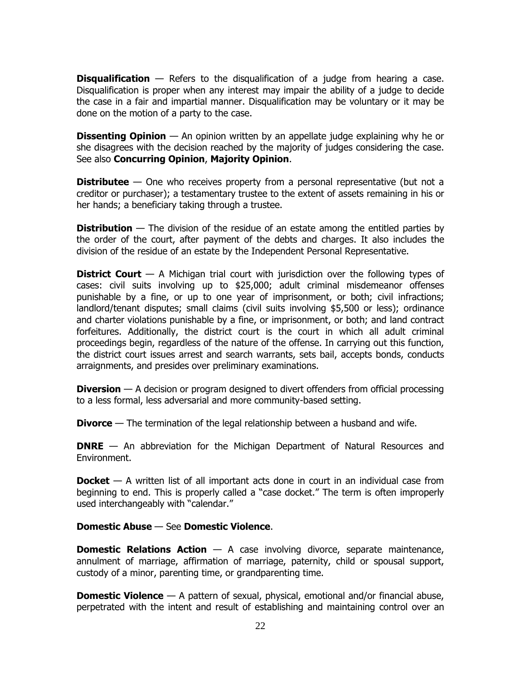**Disqualification** — Refers to the disqualification of a judge from hearing a case. Disqualification is proper when any interest may impair the ability of a judge to decide the case in a fair and impartial manner. Disqualification may be voluntary or it may be done on the motion of a party to the case.

**Dissenting Opinion** — An opinion written by an appellate judge explaining why he or she disagrees with the decision reached by the majority of judges considering the case. See also **Concurring Opinion**, **Majority Opinion**.

**Distributee** — One who receives property from a personal representative (but not a creditor or purchaser); a testamentary trustee to the extent of assets remaining in his or her hands; a beneficiary taking through a trustee.

**Distribution** — The division of the residue of an estate among the entitled parties by the order of the court, after payment of the debts and charges. It also includes the division of the residue of an estate by the Independent Personal Representative.

**District Court** — A Michigan trial court with jurisdiction over the following types of cases: civil suits involving up to \$25,000; adult criminal misdemeanor offenses punishable by a fine, or up to one year of imprisonment, or both; civil infractions; landlord/tenant disputes; small claims (civil suits involving \$5,500 or less); ordinance and charter violations punishable by a fine, or imprisonment, or both; and land contract forfeitures. Additionally, the district court is the court in which all adult criminal proceedings begin, regardless of the nature of the offense. In carrying out this function, the district court issues arrest and search warrants, sets bail, accepts bonds, conducts arraignments, and presides over preliminary examinations.

**Diversion** — A decision or program designed to divert offenders from official processing to a less formal, less adversarial and more community-based setting.

**Divorce** — The termination of the legal relationship between a husband and wife.

**DNRE** — An abbreviation for the Michigan Department of Natural Resources and Environment.

**Docket** — A written list of all important acts done in court in an individual case from beginning to end. This is properly called a "case docket." The term is often improperly used interchangeably with "calendar."

# **Domestic Abuse** — See **Domestic Violence**.

**Domestic Relations Action** — A case involving divorce, separate maintenance, annulment of marriage, affirmation of marriage, paternity, child or spousal support, custody of a minor, parenting time, or grandparenting time.

**Domestic Violence** — A pattern of sexual, physical, emotional and/or financial abuse, perpetrated with the intent and result of establishing and maintaining control over an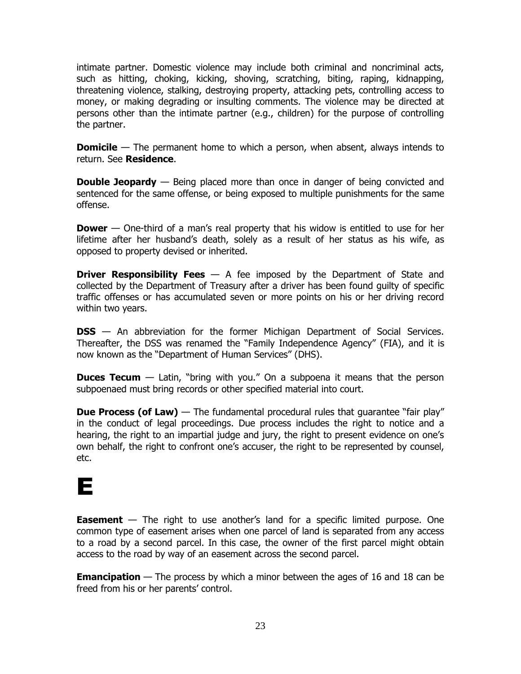intimate partner. Domestic violence may include both criminal and noncriminal acts, such as hitting, choking, kicking, shoving, scratching, biting, raping, kidnapping, threatening violence, stalking, destroying property, attacking pets, controlling access to money, or making degrading or insulting comments. The violence may be directed at persons other than the intimate partner (e.g., children) for the purpose of controlling the partner.

**Domicile** — The permanent home to which a person, when absent, always intends to return. See **Residence**.

**Double Jeopardy** — Being placed more than once in danger of being convicted and sentenced for the same offense, or being exposed to multiple punishments for the same offense.

**Dower** — One-third of a man's real property that his widow is entitled to use for her lifetime after her husband's death, solely as a result of her status as his wife, as opposed to property devised or inherited.

**Driver Responsibility Fees**  $-$  A fee imposed by the Department of State and collected by the Department of Treasury after a driver has been found guilty of specific traffic offenses or has accumulated seven or more points on his or her driving record within two years.

**DSS** — An abbreviation for the former Michigan Department of Social Services. Thereafter, the DSS was renamed the "Family Independence Agency" (FIA), and it is now known as the "Department of Human Services" (DHS).

**Duces Tecum** — Latin, "bring with you." On a subpoena it means that the person subpoenaed must bring records or other specified material into court.

**Due Process (of Law)** — The fundamental procedural rules that quarantee "fair play" in the conduct of legal proceedings. Due process includes the right to notice and a hearing, the right to an impartial judge and jury, the right to present evidence on one's own behalf, the right to confront one's accuser, the right to be represented by counsel, etc.

# E

**Easement** – The right to use another's land for a specific limited purpose. One common type of easement arises when one parcel of land is separated from any access to a road by a second parcel. In this case, the owner of the first parcel might obtain access to the road by way of an easement across the second parcel.

**Emancipation** — The process by which a minor between the ages of 16 and 18 can be freed from his or her parents' control.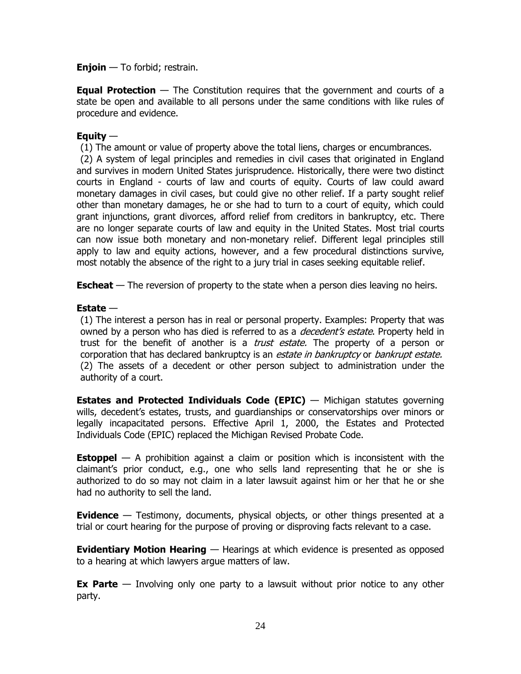**Enjoin** — To forbid; restrain.

**Equal Protection** — The Constitution requires that the government and courts of a state be open and available to all persons under the same conditions with like rules of procedure and evidence.

# **Equity** —

(1) The amount or value of property above the total liens, charges or encumbrances.

(2) A system of legal principles and remedies in civil cases that originated in England and survives in modern United States jurisprudence. Historically, there were two distinct courts in England - courts of law and courts of equity. Courts of law could award monetary damages in civil cases, but could give no other relief. If a party sought relief other than monetary damages, he or she had to turn to a court of equity, which could grant injunctions, grant divorces, afford relief from creditors in bankruptcy, etc. There are no longer separate courts of law and equity in the United States. Most trial courts can now issue both monetary and non-monetary relief. Different legal principles still apply to law and equity actions, however, and a few procedural distinctions survive, most notably the absence of the right to a jury trial in cases seeking equitable relief.

**Escheat** — The reversion of property to the state when a person dies leaving no heirs.

# **Estate** —

(1) The interest a person has in real or personal property. Examples: Property that was owned by a person who has died is referred to as a *decedent's estate*. Property held in trust for the benefit of another is a *trust estate.* The property of a person or corporation that has declared bankruptcy is an *estate in bankruptcy* or *bankrupt estate.* (2) The assets of a decedent or other person subject to administration under the authority of a court.

**Estates and Protected Individuals Code (EPIC)** — Michigan statutes governing wills, decedent's estates, trusts, and guardianships or conservatorships over minors or legally incapacitated persons. Effective April 1, 2000, the Estates and Protected Individuals Code (EPIC) replaced the Michigan Revised Probate Code.

**Estoppel** — A prohibition against a claim or position which is inconsistent with the claimant's prior conduct, e.g., one who sells land representing that he or she is authorized to do so may not claim in a later lawsuit against him or her that he or she had no authority to sell the land.

**Evidence** — Testimony, documents, physical objects, or other things presented at a trial or court hearing for the purpose of proving or disproving facts relevant to a case.

**Evidentiary Motion Hearing** — Hearings at which evidence is presented as opposed to a hearing at which lawyers argue matters of law.

**Ex Parte** — Involving only one party to a lawsuit without prior notice to any other party.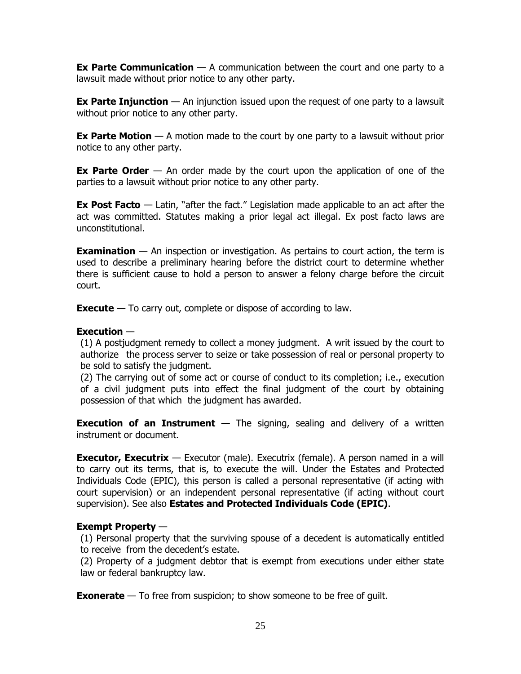**Ex Parte Communication** — A communication between the court and one party to a lawsuit made without prior notice to any other party.

**Ex Parte Injunction** — An injunction issued upon the request of one party to a lawsuit without prior notice to any other party.

**Ex Parte Motion** — A motion made to the court by one party to a lawsuit without prior notice to any other party.

**Ex Parte Order** — An order made by the court upon the application of one of the parties to a lawsuit without prior notice to any other party.

**Ex Post Facto** — Latin, "after the fact." Legislation made applicable to an act after the act was committed. Statutes making a prior legal act illegal. Ex post facto laws are unconstitutional.

**Examination** — An inspection or investigation. As pertains to court action, the term is used to describe a preliminary hearing before the district court to determine whether there is sufficient cause to hold a person to answer a felony charge before the circuit court.

**Execute** — To carry out, complete or dispose of according to law.

# **Execution** —

(1) A postjudgment remedy to collect a money judgment. A writ issued by the court to authorize the process server to seize or take possession of real or personal property to be sold to satisfy the judgment.

(2) The carrying out of some act or course of conduct to its completion; i.e., execution of a civil judgment puts into effect the final judgment of the court by obtaining possession of that which the judgment has awarded.

**Execution of an Instrument** — The signing, sealing and delivery of a written instrument or document.

**Executor, Executrix** — Executor (male). Executrix (female). A person named in a will to carry out its terms, that is, to execute the will. Under the Estates and Protected Individuals Code (EPIC), this person is called a personal representative (if acting with court supervision) or an independent personal representative (if acting without court supervision). See also **Estates and Protected Individuals Code (EPIC)**.

# **Exempt Property** —

(1) Personal property that the surviving spouse of a decedent is automatically entitled to receive from the decedent's estate.

(2) Property of a judgment debtor that is exempt from executions under either state law or federal bankruptcy law.

**Exonerate** — To free from suspicion; to show someone to be free of guilt.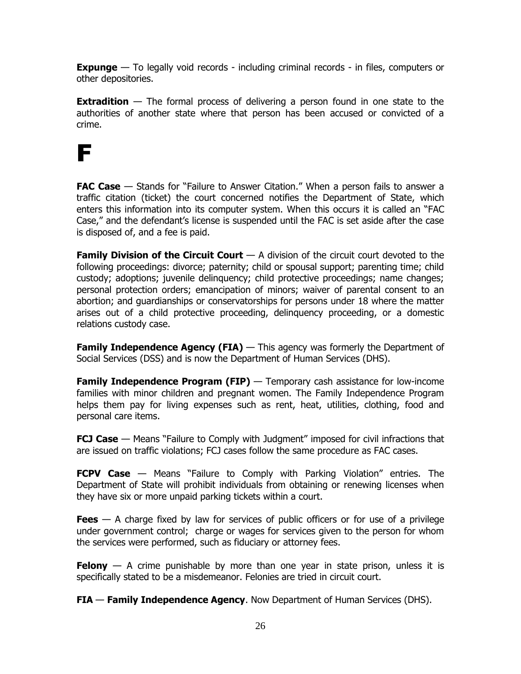**Expunge** — To legally void records - including criminal records - in files, computers or other depositories.

**Extradition** — The formal process of delivering a person found in one state to the authorities of another state where that person has been accused or convicted of a crime.

# F

**FAC Case** — Stands for "Failure to Answer Citation." When a person fails to answer a traffic citation (ticket) the court concerned notifies the Department of State, which enters this information into its computer system. When this occurs it is called an "FAC Case," and the defendant's license is suspended until the FAC is set aside after the case is disposed of, and a fee is paid.

**Family Division of the Circuit Court** — A division of the circuit court devoted to the following proceedings: divorce; paternity; child or spousal support; parenting time; child custody; adoptions; juvenile delinquency; child protective proceedings; name changes; personal protection orders; emancipation of minors; waiver of parental consent to an abortion; and guardianships or conservatorships for persons under 18 where the matter arises out of a child protective proceeding, delinquency proceeding, or a domestic relations custody case.

**Family Independence Agency (FIA)** — This agency was formerly the Department of Social Services (DSS) and is now the Department of Human Services (DHS).

**Family Independence Program (FIP)** — Temporary cash assistance for low-income families with minor children and pregnant women. The Family Independence Program helps them pay for living expenses such as rent, heat, utilities, clothing, food and personal care items.

**FCJ Case** — Means "Failure to Comply with Judgment" imposed for civil infractions that are issued on traffic violations; FCJ cases follow the same procedure as FAC cases.

**FCPV Case** — Means "Failure to Comply with Parking Violation" entries. The Department of State will prohibit individuals from obtaining or renewing licenses when they have six or more unpaid parking tickets within a court.

**Fees** — A charge fixed by law for services of public officers or for use of a privilege under government control; charge or wages for services given to the person for whom the services were performed, such as fiduciary or attorney fees.

**Felony** — A crime punishable by more than one year in state prison, unless it is specifically stated to be a misdemeanor. Felonies are tried in circuit court.

**FIA** — **Family Independence Agency**. Now Department of Human Services (DHS).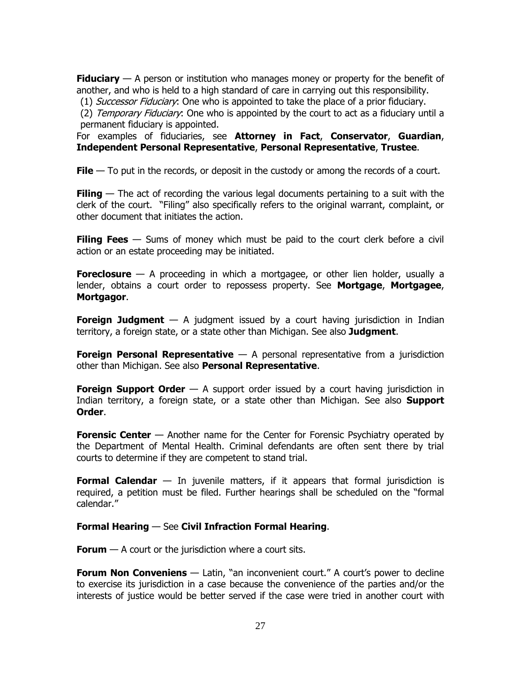**Fiduciary** — A person or institution who manages money or property for the benefit of another, and who is held to a high standard of care in carrying out this responsibility.

(1) Successor Fiduciary: One who is appointed to take the place of a prior fiduciary.

(2) Temporary Fiduciary: One who is appointed by the court to act as a fiduciary until a permanent fiduciary is appointed.

For examples of fiduciaries, see **Attorney in Fact**, **Conservator**, **Guardian**, **Independent Personal Representative**, **Personal Representative**, **Trustee**.

**File** — To put in the records, or deposit in the custody or among the records of a court.

**Filing** — The act of recording the various legal documents pertaining to a suit with the clerk of the court. "Filing" also specifically refers to the original warrant, complaint, or other document that initiates the action.

**Filing Fees** — Sums of money which must be paid to the court clerk before a civil action or an estate proceeding may be initiated.

**Foreclosure** — A proceeding in which a [mortgagee,](http://en.wikipedia.org/wiki/Mortgage#Mortgage_lender) or other [lien holder,](http://en.wikipedia.org/wiki/Lienholder) usually a lender, obtains a court order [to repossess](http://en.wikipedia.org/wiki/Court_order) property. See **Mortgage**, **Mortgagee**, **Mortgagor**.

**Foreign Judgment** — A judgment issued by a court having jurisdiction in Indian territory, a foreign state, or a state other than Michigan. See also **Judgment**.

**Foreign Personal Representative** — A personal representative from a jurisdiction other than Michigan. See also **Personal Representative**.

**Foreign Support Order** — A support order issued by a court having jurisdiction in Indian territory, a foreign state, or a state other than Michigan. See also **Support Order**.

**Forensic Center** — Another name for the Center for Forensic Psychiatry operated by the Department of Mental Health. Criminal defendants are often sent there by trial courts to determine if they are competent to stand trial.

**Formal Calendar** — In juvenile matters, if it appears that formal jurisdiction is required, a petition must be filed. Further hearings shall be scheduled on the "formal calendar."

**Formal Hearing** — See **Civil Infraction Formal Hearing**.

**Forum** — A court or the jurisdiction where a court sits.

**Forum Non Conveniens** — Latin, "an inconvenient court." A court's power to decline to exercise its jurisdiction in a case because the convenience of the parties and/or the interests of justice would be better served if the case were tried in another court with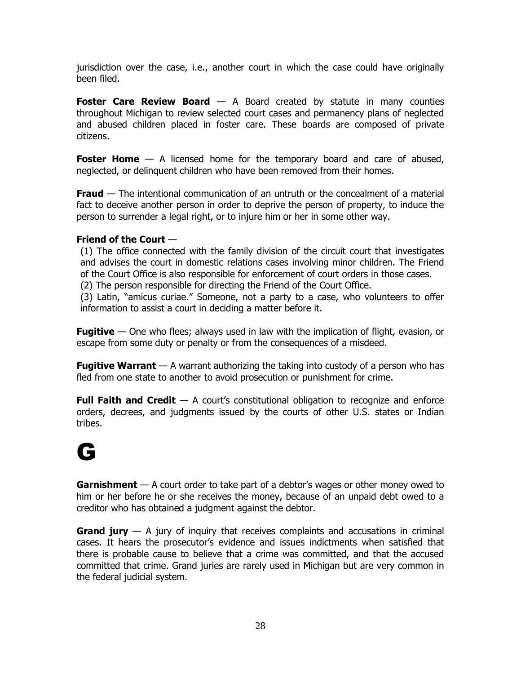jurisdiction over the case, i.e., another court in which the case could have originally been filed.

**Foster Care Review Board** — A Board created by statute in many counties throughout Michigan to review selected court cases and permanency plans of neglected and abused children placed in foster care. These boards are composed of private citizens.

**Foster Home** — A licensed home for the temporary board and care of abused, neglected, or delinquent children who have been removed from their homes.

**Fraud** — The intentional communication of an untruth or the concealment of a material fact to deceive another person in order to deprive the person of property, to induce the person to surrender a legal right, or to injure him or her in some other way.

# **Friend of the Court** —

(1) The office connected with the family division of the circuit court that investigates and advises the court in domestic relations cases involving minor children. The Friend of the Court Office is also responsible for enforcement of court orders in those cases.

(2) The person responsible for directing the Friend of the Court Office.

(3) Latin, "amicus curiae." Someone, not a party to a case, who volunteers to offer information to assist a court in deciding a matter before it.

**Fugitive** — One who flees; always used in law with the implication of flight, evasion, or escape from some duty or penalty or from the consequences of a misdeed.

**Fugitive Warrant** — A warrant authorizing the taking into custody of a person who has fled from one state to another to avoid prosecution or punishment for crime.

**Full Faith and Credit** — A court's constitutional obligation to recognize and enforce orders, decrees, and judgments issued by the courts of other U.S. states or Indian tribes.

# G

**Garnishment** — A court order to take part of a debtor's wages or other money owed to him or her before he or she receives the money, because of an unpaid debt owed to a creditor who has obtained a judgment against the debtor.

**Grand jury** — A jury of inquiry that receives complaints and accusations in criminal cases. It hears the prosecutor's evidence and issues indictments when satisfied that there is probable cause to believe that a crime was committed, and that the accused committed that crime. Grand juries are rarely used in Michigan but are very common in the federal judicial system.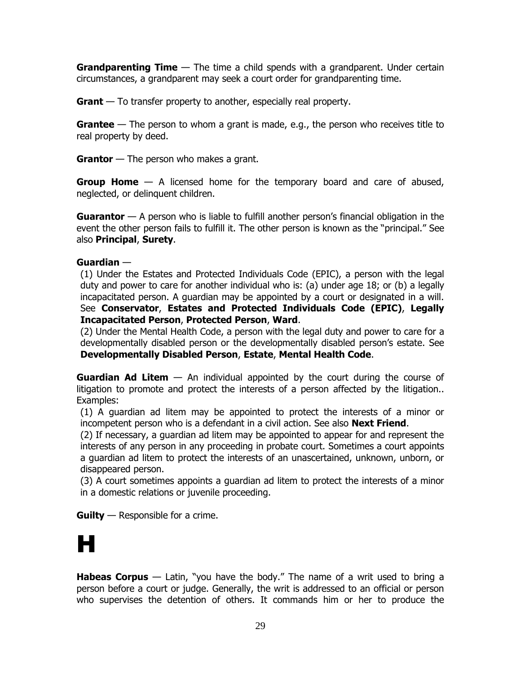**Grandparenting Time** — The time a child spends with a grandparent. Under certain circumstances, a grandparent may seek a court order for grandparenting time.

**Grant** — To transfer property to another, especially real property.

**Grantee** — The person to whom a grant is made, e.g., the person who receives title to real property by deed.

**Grantor** — The person who makes a grant.

**Group Home** — A licensed home for the temporary board and care of abused, neglected, or delinquent children.

**Guarantor** — A person who is liable to fulfill another person's financial obligation in the event the other person fails to fulfill it. The other person is known as the "principal." See also **Principal**, **Surety**.

# **Guardian** —

(1) Under the Estates and Protected Individuals Code (EPIC), a person with the legal duty and power to care for another individual who is: (a) under age 18; or (b) a legally incapacitated person. A guardian may be appointed by a court or designated in a will. See **Conservator**, **Estates and Protected Individuals Code (EPIC)**, **Legally Incapacitated Person**, **Protected Person**, **Ward**.

(2) Under the Mental Health Code, a person with the legal duty and power to care for a developmentally disabled person or the developmentally disabled person's estate. See **Developmentally Disabled Person**, **Estate**, **Mental Health Code**.

**Guardian Ad Litem** — An individual appointed by the court during the course of litigation to promote and protect the interests of a person affected by the litigation.. Examples:

(1) A guardian ad litem may be appointed to protect the interests of a minor or incompetent person who is a defendant in a civil action. See also **Next Friend**.

(2) If necessary, a guardian ad litem may be appointed to appear for and represent the interests of any person in any proceeding in probate court. Sometimes a court appoints a guardian ad litem to protect the interests of an unascertained, unknown, unborn, or disappeared person.

(3) A court sometimes appoints a guardian ad litem to protect the interests of a minor in a domestic relations or juvenile proceeding.

**Guilty** — Responsible for a crime.

# H

**Habeas Corpus** — Latin, "you have the body." The name of a writ used to bring a person before a court or judge. Generally, the writ is addressed to an official or person who supervises the detention of others. It commands him or her to produce the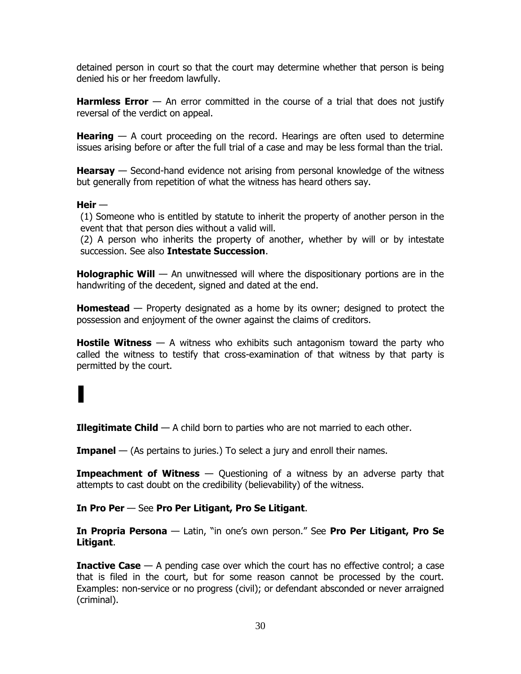detained person in court so that the court may determine whether that person is being denied his or her freedom lawfully.

**Harmless Error** — An error committed in the course of a trial that does not justify reversal of the verdict on appeal.

**Hearing** — A court proceeding on the record. Hearings are often used to determine issues arising before or after the full trial of a case and may be less formal than the trial.

**Hearsay** — Second-hand evidence not arising from personal knowledge of the witness but generally from repetition of what the witness has heard others say.

# **Heir** —

(1) Someone who is entitled by statute to inherit the property of another person in the event that that person dies without a valid will.

(2) A person who inherits the property of another, whether by will or by intestate succession. See also **Intestate Succession**.

**Holographic Will** — An unwitnessed will where the dispositionary portions are in the handwriting of the decedent, signed and dated at the end.

**Homestead** — Property designated as a home by its owner; designed to protect the possession and enjoyment of the owner against the claims of creditors.

**Hostile Witness** — A witness who exhibits such antagonism toward the party who called the witness to testify that cross-examination of that witness by that party is permitted by the court.

# I

**Illegitimate Child** — A child born to parties who are not married to each other.

**Impanel** — (As pertains to juries.) To select a jury and enroll their names.

**Impeachment of Witness** — Questioning of a witness by an adverse party that attempts to cast doubt on the credibility (believability) of the witness.

# **In Pro Per** — See **Pro Per Litigant, Pro Se Litigant**.

**In Propria Persona** — Latin, "in one's own person." See **Pro Per Litigant, Pro Se Litigant**.

**Inactive Case** — A pending case over which the court has no effective control; a case that is filed in the court, but for some reason cannot be processed by the court. Examples: non-service or no progress (civil); or defendant absconded or never arraigned (criminal).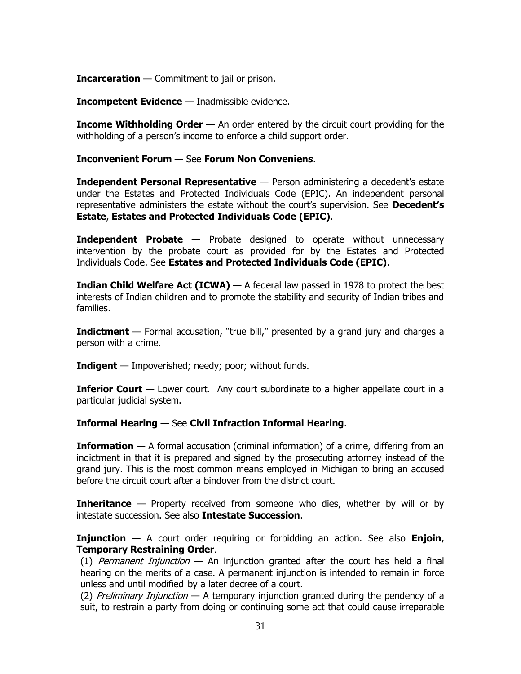**Incarceration** — Commitment to jail or prison.

**Incompetent Evidence** — Inadmissible evidence.

**Income Withholding Order** — An order entered by the circuit court providing for the withholding of a person's income to enforce a child support order.

#### **Inconvenient Forum** — See **Forum Non Conveniens**.

**Independent Personal Representative** — Person administering a decedent's estate under the Estates and Protected Individuals Code (EPIC). An independent personal representative administers the estate without the court's supervision. See **Decedent's Estate**, **Estates and Protected Individuals Code (EPIC)**.

**Independent Probate** — Probate designed to operate without unnecessary intervention by the probate court as provided for by the Estates and Protected Individuals Code. See **Estates and Protected Individuals Code (EPIC)**.

**Indian Child Welfare Act (ICWA)** — A federal law passed in 1978 to protect the best interests of Indian children and to promote the stability and security of Indian tribes and families.

**Indictment** — Formal accusation, "true bill," presented by a grand jury and charges a person with a crime.

**Indigent** — Impoverished; needy; poor; without funds.

**Inferior Court** — Lower court. Any court subordinate to a higher appellate court in a particular judicial system.

**Informal Hearing** — See **Civil Infraction Informal Hearing**.

**Information** — A formal accusation (criminal information) of a crime, differing from an indictment in that it is prepared and signed by the prosecuting attorney instead of the grand jury. This is the most common means employed in Michigan to bring an accused before the circuit court after a bindover from the district court.

**Inheritance** — Property received from someone who dies, whether by will or by intestate succession. See also **Intestate Succession**.

**Injunction** — A court order requiring or forbidding an action. See also **Enjoin**, **Temporary Restraining Order**.

(1) Permanent Injunction  $-$  An injunction granted after the court has held a final hearing on the merits of a case. A permanent injunction is intended to remain in force unless and until modified by a later decree of a court.

(2) Preliminary Injunction — A temporary injunction granted during the pendency of a suit, to restrain a party from doing or continuing some act that could cause irreparable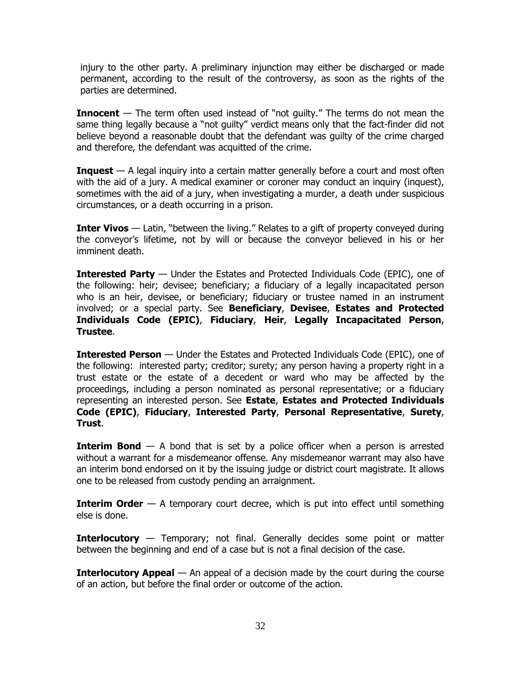injury to the other party. A preliminary injunction may either be discharged or made permanent, according to the result of the controversy, as soon as the rights of the parties are determined.

**Innocent** — The term often used instead of "not guilty." The terms do not mean the same thing legally because a "not guilty" verdict means only that the fact-finder did not believe beyond a reasonable doubt that the defendant was guilty of the crime charged and therefore, the defendant was acquitted of the crime.

**Inquest** — A legal inquiry into a certain matter generally before a court and most often with the aid of a jury. A medical examiner or coroner may conduct an inquiry (inquest), sometimes with the aid of a jury, when investigating a murder, a death under suspicious circumstances, or a death occurring in a prison.

**Inter Vivos** — Latin, "between the living." Relates to a gift of property conveyed during the conveyor's lifetime, not by will or because the conveyor believed in his or her imminent death.

**Interested Party** — Under the Estates and Protected Individuals Code (EPIC), one of the following: heir; devisee; beneficiary; a fiduciary of a legally incapacitated person who is an heir, devisee, or beneficiary; fiduciary or trustee named in an instrument involved; or a special party. See **Beneficiary**, **Devisee**, **Estates and Protected Individuals Code (EPIC)**, **Fiduciary**, **Heir**, **Legally Incapacitated Person**, **Trustee**.

**Interested Person** — Under the Estates and Protected Individuals Code (EPIC), one of the following: interested party; creditor; surety; any person having a property right in a trust estate or the estate of a decedent or ward who may be affected by the proceedings, including a person nominated as personal representative; or a fiduciary representing an interested person. See **Estate**, **Estates and Protected Individuals Code (EPIC)**, **Fiduciary**, **Interested Party**, **Personal Representative**, **Surety**, **Trust**.

**Interim Bond** — A bond that is set by a police officer when a person is arrested without a warrant for a misdemeanor offense. Any misdemeanor warrant may also have an interim bond endorsed on it by the issuing judge or district court magistrate. It allows one to be released from custody pending an arraignment.

**Interim Order** — A temporary court decree, which is put into effect until something else is done.

**Interlocutory** — Temporary; not final. Generally decides some point or matter between the beginning and end of a case but is not a final decision of the case.

**Interlocutory Appeal** — An appeal of a decision made by the court during the course of an action, but before the final order or outcome of the action.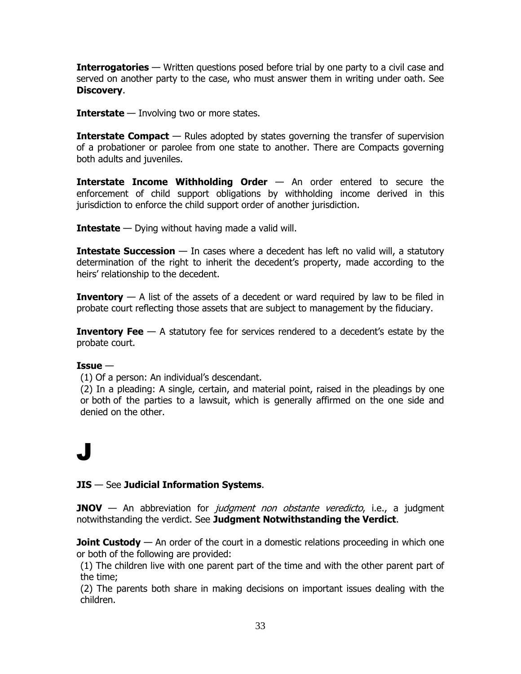**Interrogatories** — Written questions posed before trial by one party to a civil case and served on another party to the case, who must answer them in writing under oath. See **Discovery**.

**Interstate** — Involving two or more states.

**Interstate Compact** — Rules adopted by states governing the transfer of supervision of a probationer or parolee from one state to another. There are Compacts governing both adults and juveniles.

**Interstate Income Withholding Order** — An order entered to secure the enforcement of child support obligations by withholding income derived in this jurisdiction to enforce the child support order of another jurisdiction.

**Intestate** — Dying without having made a valid will.

**Intestate Succession** — In cases where a decedent has left no valid will, a statutory determination of the right to inherit the decedent's property, made according to the heirs' relationship to the decedent.

**Inventory** — A list of the assets of a decedent or ward required by law to be filed in probate court reflecting those assets that are subject to management by the fiduciary.

**Inventory Fee** — A statutory fee for services rendered to a decedent's estate by the probate court.

# **Issue** —

(1) Of a person: An individual's descendant.

(2) In a pleading: A single, certain, and material point, raised in the pleadings by one or both of the parties to a lawsuit, which is generally affirmed on the one side and denied on the other.

# J

# **JIS** — See **Judicial Information Systems**.

**JNOV** — An abbreviation for *judgment non obstante veredicto*, i.e., a judgment notwithstanding the verdict. See **Judgment Notwithstanding the Verdict**.

**Joint Custody** — An order of the court in a domestic relations proceeding in which one or both of the following are provided:

(1) The children live with one parent part of the time and with the other parent part of the time;

(2) The parents both share in making decisions on important issues dealing with the children.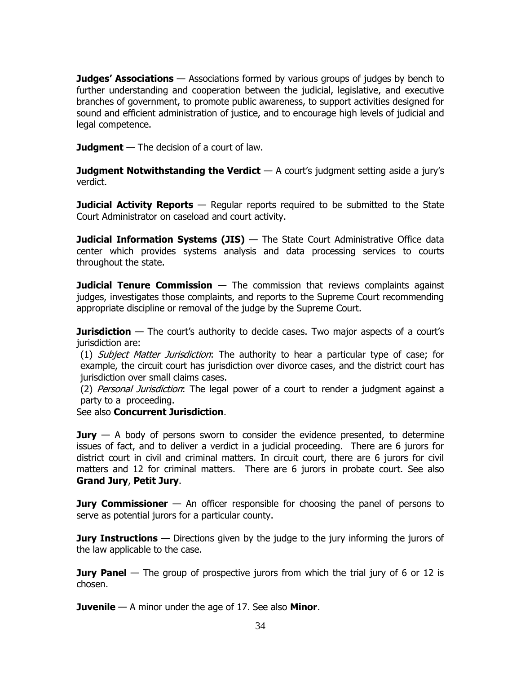**Judges' Associations** — Associations formed by various groups of judges by bench to further understanding and cooperation between the judicial, legislative, and executive branches of government, to promote public awareness, to support activities designed for sound and efficient administration of justice, and to encourage high levels of judicial and legal competence.

**Judgment** — The decision of a court of law.

**Judgment Notwithstanding the Verdict**  $-$  A court's judgment setting aside a jury's verdict.

**Judicial Activity Reports** — Regular reports required to be submitted to the State Court Administrator on caseload and court activity.

**Judicial Information Systems (JIS)** — The State Court Administrative Office data center which provides systems analysis and data processing services to courts throughout the state.

**Judicial Tenure Commission** — The commission that reviews complaints against judges, investigates those complaints, and reports to the Supreme Court recommending appropriate discipline or removal of the judge by the Supreme Court.

**Jurisdiction** — The court's authority to decide cases. Two major aspects of a court's jurisdiction are:

(1) Subject Matter Jurisdiction: The authority to hear a particular type of case; for example, the circuit court has jurisdiction over divorce cases, and the district court has jurisdiction over small claims cases.

(2) Personal Jurisdiction: The legal power of a court to render a judgment against a party to a proceeding.

See also **Concurrent Jurisdiction**.

**Jury** — A body of persons sworn to consider the evidence presented, to determine issues of fact, and to deliver a verdict in a judicial proceeding. There are 6 jurors for district court in civil and criminal matters. In circuit court, there are 6 jurors for civil matters and 12 for criminal matters. There are 6 jurors in probate court. See also **Grand Jury**, **Petit Jury**.

**Jury Commissioner** — An officer responsible for choosing the panel of persons to serve as potential jurors for a particular county.

**Jury Instructions** — Directions given by the judge to the jury informing the jurors of the law applicable to the case.

**Jury Panel** — The group of prospective jurors from which the trial jury of 6 or 12 is chosen.

**Juvenile** — A minor under the age of 17. See also **Minor**.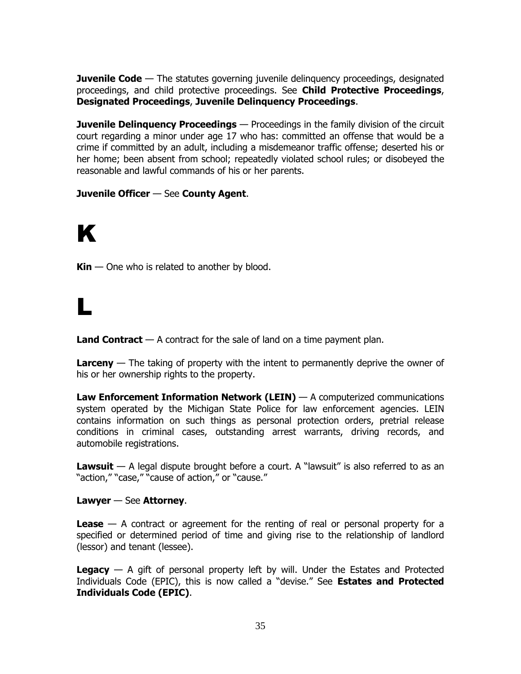**Juvenile Code** — The statutes governing juvenile delinguency proceedings, designated proceedings, and child protective proceedings. See **Child Protective Proceedings**, **Designated Proceedings**, **Juvenile Delinquency Proceedings**.

**Juvenile Delinquency Proceedings** — Proceedings in the family division of the circuit court regarding a minor under age 17 who has: committed an offense that would be a crime if committed by an adult, including a misdemeanor traffic offense; deserted his or her home; been absent from school; repeatedly violated school rules; or disobeyed the reasonable and lawful commands of his or her parents.

# **Juvenile Officer** — See **County Agent**.

# K

**Kin** — One who is related to another by blood.

# L

**Land Contract** — A contract for the sale of land on a time payment plan.

**Larceny** — The taking of property with the intent to permanently deprive the owner of his or her ownership rights to the property.

**Law Enforcement Information Network (LEIN)** — A computerized communications system operated by the Michigan State Police for law enforcement agencies. LEIN contains information on such things as personal protection orders, pretrial release conditions in criminal cases, outstanding arrest warrants, driving records, and automobile registrations.

**Lawsuit** — A legal dispute brought before a court. A "lawsuit" is also referred to as an "action," "case," "cause of action," or "cause."

# **Lawyer** — See **Attorney**.

**Lease** — A contract or agreement for the renting of real or personal property for a specified or determined period of time and giving rise to the relationship of landlord (lessor) and tenant (lessee).

**Legacy** — A gift of personal property left by will. Under the Estates and Protected Individuals Code (EPIC), this is now called a "devise." See **Estates and Protected Individuals Code (EPIC)**.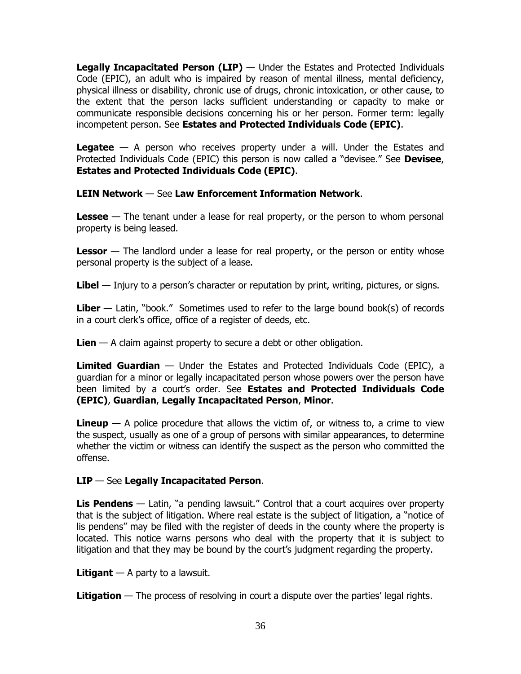**Legally Incapacitated Person (LIP)** — Under the Estates and Protected Individuals Code (EPIC), an adult who is impaired by reason of mental illness, mental deficiency, physical illness or disability, chronic use of drugs, chronic intoxication, or other cause, to the extent that the person lacks sufficient understanding or capacity to make or communicate responsible decisions concerning his or her person. Former term: legally incompetent person. See **Estates and Protected Individuals Code (EPIC)**.

**Legatee** — A person who receives property under a will. Under the Estates and Protected Individuals Code (EPIC) this person is now called a "devisee." See **Devisee**, **Estates and Protected Individuals Code (EPIC)**.

**LEIN Network** — See **Law Enforcement Information Network**.

**Lessee** — The tenant under a lease for real property, or the person to whom personal property is being leased.

**Lessor** — The landlord under a lease for real property, or the person or entity whose personal property is the subject of a lease.

**Libel** — Injury to a person's character or reputation by print, writing, pictures, or signs.

**Liber** — Latin, "book." Sometimes used to refer to the large bound book(s) of records in a court clerk's office, office of a register of deeds, etc.

**Lien** — A claim against property to secure a debt or other obligation.

**Limited Guardian** — Under the Estates and Protected Individuals Code (EPIC), a guardian for a minor or legally incapacitated person whose powers over the person have been limited by a court's order. See **Estates and Protected Individuals Code (EPIC)**, **Guardian**, **Legally Incapacitated Person**, **Minor**.

**Lineup** — A police procedure that allows the victim of, or witness to, a crime to view the suspect, usually as one of a group of persons with similar appearances, to determine whether the victim or witness can identify the suspect as the person who committed the offense.

# **LIP** — See **Legally Incapacitated Person**.

**Lis Pendens** — Latin, "a pending lawsuit." Control that a court acquires over property that is the subject of litigation. Where real estate is the subject of litigation, a "notice of lis pendens" may be filed with the register of deeds in the county where the property is located. This notice warns persons who deal with the property that it is subject to litigation and that they may be bound by the court's judgment regarding the property.

**Litigant** — A party to a lawsuit.

**Litigation** — The process of resolving in court a dispute over the parties' legal rights.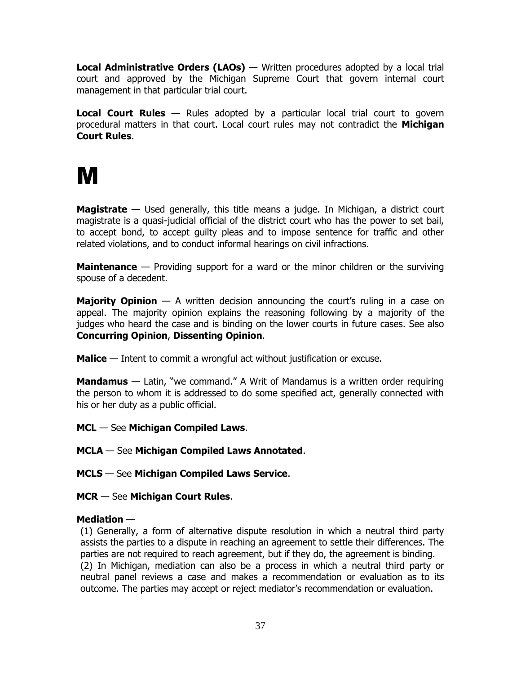**Local Administrative Orders (LAOs)** — Written procedures adopted by a local trial court and approved by the Michigan Supreme Court that govern internal court management in that particular trial court.

**Local Court Rules** — Rules adopted by a particular local trial court to govern procedural matters in that court. Local court rules may not contradict the **Michigan Court Rules**.

# M

**Magistrate** — Used generally, this title means a judge. In Michigan, a district court magistrate is a quasi-judicial official of the district court who has the power to set bail, to accept bond, to accept guilty pleas and to impose sentence for traffic and other related violations, and to conduct informal hearings on civil infractions.

**Maintenance** — Providing support for a ward or the minor children or the surviving spouse of a decedent.

**Majority Opinion** — A written decision announcing the court's ruling in a case on appeal. The majority opinion explains the reasoning following by a majority of the judges who heard the case and is binding on the lower courts in future cases. See also **Concurring Opinion**, **Dissenting Opinion**.

**Malice** — Intent to commit a wrongful act without justification or excuse.

**Mandamus** — Latin, "we command." A Writ of Mandamus is a written order requiring the person to whom it is addressed to do some specified act, generally connected with his or her duty as a public official.

- **MCL** See **Michigan Compiled Laws**.
- **MCLA**  See **Michigan Compiled Laws Annotated**.
- **MCLS**  See **Michigan Compiled Laws Service**.
- **MCR**  See **Michigan Court Rules**.

# **Mediation** —

(1) Generally, a form of alternative dispute resolution in which a neutral third party assists the parties to a dispute in reaching an agreement to settle their differences. The parties are not required to reach agreement, but if they do, the agreement is binding. (2) In Michigan, mediation can also be a process in which a neutral third party or neutral panel reviews a case and makes a recommendation or evaluation as to its outcome. The parties may accept or reject mediator's recommendation or evaluation.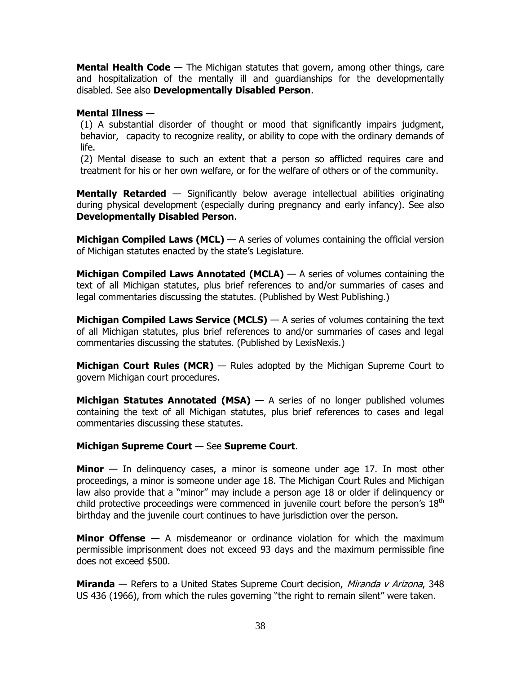**Mental Health Code** — The Michigan statutes that govern, among other things, care and hospitalization of the mentally ill and guardianships for the developmentally disabled. See also **Developmentally Disabled Person**.

#### **Mental Illness** —

(1) A substantial disorder of thought or mood that significantly impairs judgment, behavior, capacity to recognize reality, or ability to cope with the ordinary demands of life.

(2) Mental disease to such an extent that a person so afflicted requires care and treatment for his or her own welfare, or for the welfare of others or of the community.

**Mentally Retarded** — Significantly below average intellectual abilities originating during physical development (especially during pregnancy and early infancy). See also **Developmentally Disabled Person**.

**Michigan Compiled Laws (MCL)** — A series of volumes containing the official version of Michigan statutes enacted by the state's Legislature.

**Michigan Compiled Laws Annotated (MCLA)** — A series of volumes containing the text of all Michigan statutes, plus brief references to and/or summaries of cases and legal commentaries discussing the statutes. (Published by West Publishing.)

**Michigan Compiled Laws Service (MCLS)** — A series of volumes containing the text of all Michigan statutes, plus brief references to and/or summaries of cases and legal commentaries discussing the statutes. (Published by LexisNexis.)

**Michigan Court Rules (MCR)** — Rules adopted by the Michigan Supreme Court to govern Michigan court procedures.

**Michigan Statutes Annotated (MSA)** — A series of no longer published volumes containing the text of all Michigan statutes, plus brief references to cases and legal commentaries discussing these statutes.

# **Michigan Supreme Court** — See **Supreme Court**.

**Minor** — In delinquency cases, a minor is someone under age 17. In most other proceedings, a minor is someone under age 18. The Michigan Court Rules and Michigan law also provide that a "minor" may include a person age 18 or older if delinquency or child protective proceedings were commenced in juvenile court before the person's  $18<sup>th</sup>$ birthday and the juvenile court continues to have jurisdiction over the person.

**Minor Offense** — A misdemeanor or ordinance violation for which the maximum permissible imprisonment does not exceed 93 days and the maximum permissible fine does not exceed \$500.

**Miranda** — Refers to a United States Supreme Court decision, *Miranda v Arizona*, 348 US 436 (1966), from which the rules governing "the right to remain silent" were taken.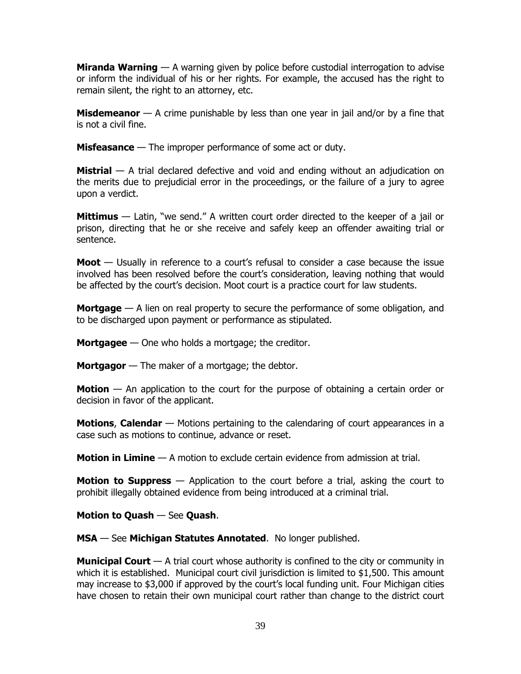**Miranda Warning** — A warning given by police before custodial interrogation to advise or inform the individual of his or her rights. For example, the accused has the right to remain silent, the right to an attorney, etc.

**Misdemeanor** — A crime punishable by less than one year in jail and/or by a fine that is not a civil fine.

**Misfeasance** — The improper performance of some act or duty.

**Mistrial** — A trial declared defective and void and ending without an adjudication on the merits due to prejudicial error in the proceedings, or the failure of a jury to agree upon a verdict.

**Mittimus** — Latin, "we send." A written court order directed to the keeper of a jail or prison, directing that he or she receive and safely keep an offender awaiting trial or sentence.

**Moot** — Usually in reference to a court's refusal to consider a case because the issue involved has been resolved before the court's consideration, leaving nothing that would be affected by the court's decision. Moot court is a practice court for law students.

**Mortgage** — A lien on real property to secure the performance of some obligation, and to be discharged upon payment or performance as stipulated.

**Mortgagee** — One who holds a mortgage; the creditor.

**Mortgagor** — The maker of a mortgage; the debtor.

**Motion** — An application to the court for the purpose of obtaining a certain order or decision in favor of the applicant.

**Motions**, **Calendar** — Motions pertaining to the calendaring of court appearances in a case such as motions to continue, advance or reset.

**Motion in Limine** — A motion to exclude certain evidence from admission at trial.

**Motion to Suppress** — Application to the court before a trial, asking the court to prohibit illegally obtained evidence from being introduced at a criminal trial.

**Motion to Quash** — See **Quash**.

**MSA** — See **Michigan Statutes Annotated**. No longer published.

**Municipal Court** — A trial court whose authority is confined to the city or community in which it is established. Municipal court civil jurisdiction is limited to \$1,500. This amount may increase to \$3,000 if approved by the court's local funding unit. Four Michigan cities have chosen to retain their own municipal court rather than change to the district court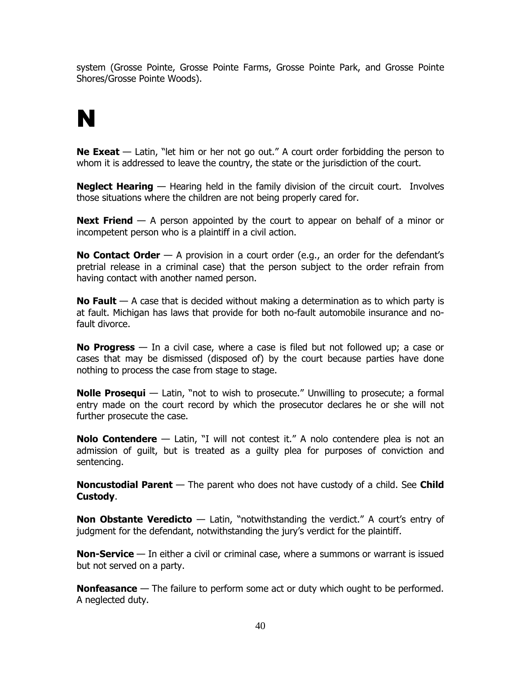system (Grosse Pointe, Grosse Pointe Farms, Grosse Pointe Park, and Grosse Pointe Shores/Grosse Pointe Woods).

# N

**Ne Exeat** — Latin, "let him or her not go out." A court order forbidding the person to whom it is addressed to leave the country, the state or the jurisdiction of the court.

**Neglect Hearing** — Hearing held in the family division of the circuit court. Involves those situations where the children are not being properly cared for.

**Next Friend** — A person appointed by the court to appear on behalf of a minor or incompetent person who is a plaintiff in a civil action.

**No Contact Order** — A provision in a court order (e.g., an order for the defendant's pretrial release in a criminal case) that the person subject to the order refrain from having contact with another named person.

**No Fault** — A case that is decided without making a determination as to which party is at fault. Michigan has laws that provide for both no-fault automobile insurance and nofault divorce.

**No Progress** — In a civil case, where a case is filed but not followed up; a case or cases that may be dismissed (disposed of) by the court because parties have done nothing to process the case from stage to stage.

**Nolle Prosequi** — Latin, "not to wish to prosecute." Unwilling to prosecute; a formal entry made on the court record by which the prosecutor declares he or she will not further prosecute the case.

**Nolo Contendere** — Latin, "I will not contest it." A nolo contendere plea is not an admission of guilt, but is treated as a guilty plea for purposes of conviction and sentencing.

**Noncustodial Parent** — The parent who does not have custody of a child. See **Child Custody**.

**Non Obstante Veredicto** — Latin, "notwithstanding the verdict." A court's entry of judgment for the defendant, notwithstanding the jury's verdict for the plaintiff.

**Non-Service** — In either a civil or criminal case, where a summons or warrant is issued but not served on a party.

**Nonfeasance** — The failure to perform some act or duty which ought to be performed. A neglected duty.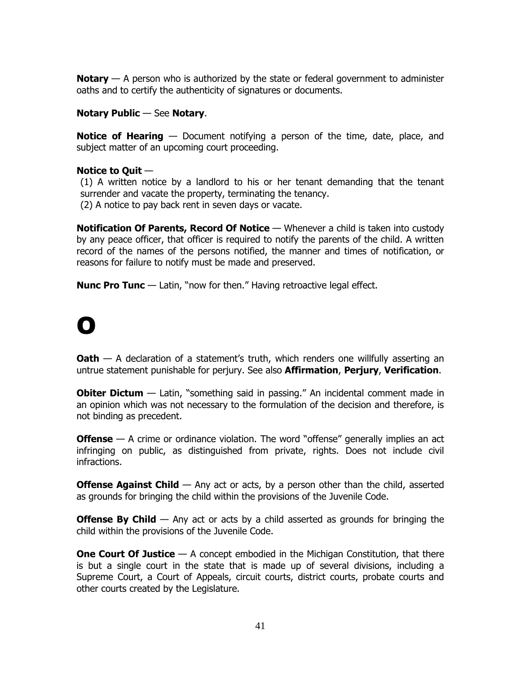**Notary** — A person who is authorized by the state or federal government to administer oaths and to certify the authenticity of signatures or documents.

# **Notary Public** — See **Notary**.

**Notice of Hearing** — Document notifying a person of the time, date, place, and subject matter of an upcoming court proceeding.

# **Notice to Quit** —

(1) A written notice by a landlord to his or her tenant demanding that the tenant surrender and vacate the property, terminating the tenancy. (2) A notice to pay back rent in seven days or vacate.

**Notification Of Parents, Record Of Notice** — Whenever a child is taken into custody by any peace officer, that officer is required to notify the parents of the child. A written record of the names of the persons notified, the manner and times of notification, or reasons for failure to notify must be made and preserved.

**Nunc Pro Tunc** — Latin, "now for then." Having retroactive legal effect.

# O

**Oath** — A declaration of a statement's truth, which renders one willfully asserting an untrue statement punishable for perjury. See also **Affirmation**, **Perjury**, **Verification**.

**Obiter Dictum** — Latin, "something said in passing." An incidental comment made in an opinion which was not necessary to the formulation of the decision and therefore, is not binding as precedent.

**Offense** — A crime or ordinance violation. The word "offense" generally implies an act infringing on public, as distinguished from private, rights. Does not include civil infractions.

**Offense Against Child** — Any act or acts, by a person other than the child, asserted as grounds for bringing the child within the provisions of the Juvenile Code.

**Offense By Child** — Any act or acts by a child asserted as grounds for bringing the child within the provisions of the Juvenile Code.

**One Court Of Justice** — A concept embodied in the Michigan Constitution, that there is but a single court in the state that is made up of several divisions, including a Supreme Court, a Court of Appeals, circuit courts, district courts, probate courts and other courts created by the Legislature.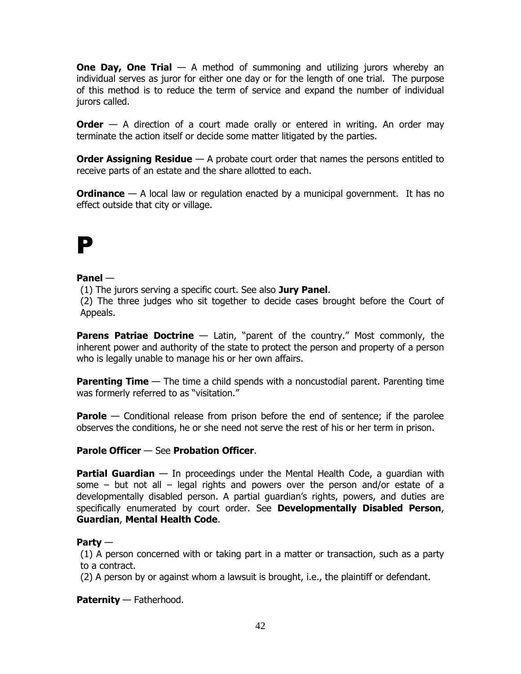**One Day, One Trial** — A method of summoning and utilizing jurors whereby an individual serves as juror for either one day or for the length of one trial. The purpose of this method is to reduce the term of service and expand the number of individual jurors called.

**Order** — A direction of a court made orally or entered in writing. An order may terminate the action itself or decide some matter litigated by the parties.

**Order Assigning Residue** — A probate court order that names the persons entitled to receive parts of an estate and the share allotted to each.

**Ordinance** — A local law or regulation enacted by a municipal government. It has no effect outside that city or village.

# P

# **Panel** —

(1) The jurors serving a specific court. See also **Jury Panel**.

(2) The three judges who sit together to decide cases brought before the Court of Appeals.

**Parens Patriae Doctrine** — Latin, "parent of the country." Most commonly, the inherent power and authority of the state to protect the person and property of a person who is legally unable to manage his or her own affairs.

**Parenting Time** — The time a child spends with a noncustodial parent. Parenting time was formerly referred to as "visitation."

**Parole** — Conditional release from prison before the end of sentence; if the parolee observes the conditions, he or she need not serve the rest of his or her term in prison.

# **Parole Officer** — See **Probation Officer**.

**Partial Guardian** — In proceedings under the Mental Health Code, a guardian with some – but not all – legal rights and powers over the person and/or estate of a developmentally disabled person. A partial guardian's rights, powers, and duties are specifically enumerated by court order. See **Developmentally Disabled Person**, **Guardian**, **Mental Health Code**.

# **Party** —

(1) A person concerned with or taking part in a matter or transaction, such as a party to a contract.

(2) A person by or against whom a lawsuit is brought, i.e., the plaintiff or defendant.

**Paternity** — Fatherhood.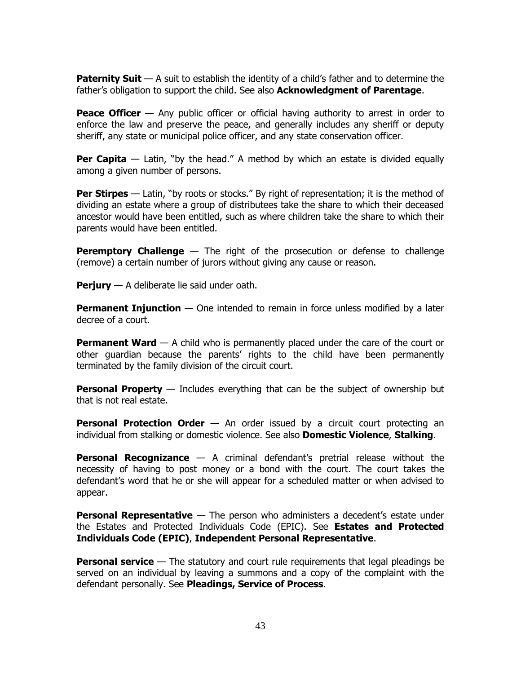**Paternity Suit** — A suit to establish the identity of a child's father and to determine the father's obligation to support the child. See also **Acknowledgment of Parentage**.

**Peace Officer** — Any public officer or official having authority to arrest in order to enforce the law and preserve the peace, and generally includes any sheriff or deputy sheriff, any state or municipal police officer, and any state conservation officer.

**Per Capita** — Latin, "by the head." A method by which an estate is divided equally among a given number of persons.

**Per Stirpes** — Latin, "by roots or stocks." By right of representation; it is the method of dividing an estate where a group of distributees take the share to which their deceased ancestor would have been entitled, such as where children take the share to which their parents would have been entitled.

**Peremptory Challenge** — The right of the prosecution or defense to challenge (remove) a certain number of jurors without giving any cause or reason.

**Perjury** — A deliberate lie said under oath.

**Permanent Injunction** — One intended to remain in force unless modified by a later decree of a court.

**Permanent Ward** — A child who is permanently placed under the care of the court or other guardian because the parents' rights to the child have been permanently terminated by the family division of the circuit court.

**Personal Property** — Includes everything that can be the subject of ownership but that is not real estate.

**Personal Protection Order** — An order issued by a circuit court protecting an individual from stalking or domestic violence. See also **Domestic Violence**, **Stalking**.

**Personal Recognizance** — A criminal defendant's pretrial release without the necessity of having to post money or a bond with the court. The court takes the defendant's word that he or she will appear for a scheduled matter or when advised to appear.

**Personal Representative** — The person who administers a decedent's estate under the Estates and Protected Individuals Code (EPIC). See **Estates and Protected Individuals Code (EPIC)**, **Independent Personal Representative**.

**Personal service** — The statutory and court rule requirements that legal pleadings be served on an individual by leaving a summons and a copy of the complaint with the defendant personally. See **Pleadings, Service of Process**.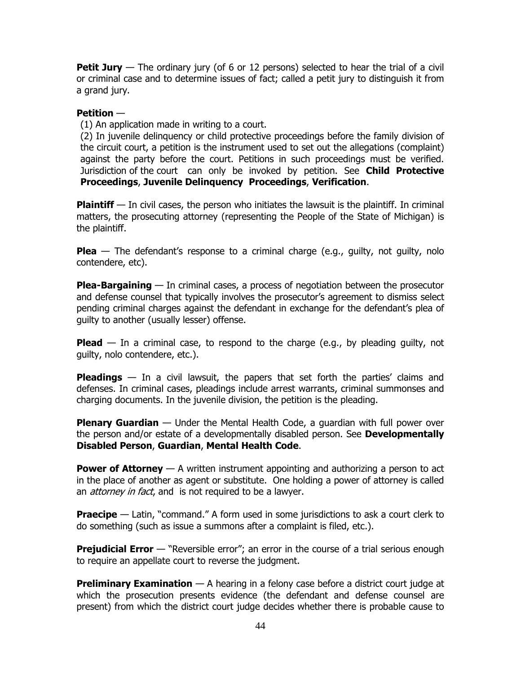**Petit Jury** — The ordinary jury (of 6 or 12 persons) selected to hear the trial of a civil or criminal case and to determine issues of fact; called a petit jury to distinguish it from a grand jury.

#### **Petition** —

(1) An application made in writing to a court.

(2) In juvenile delinquency or child protective proceedings before the family division of the circuit court, a petition is the instrument used to set out the allegations (complaint) against the party before the court. Petitions in such proceedings must be verified. Jurisdiction of the court can only be invoked by petition. See **Child Protective Proceedings**, **Juvenile Delinquency Proceedings**, **Verification**.

**Plaintiff** — In civil cases, the person who initiates the lawsuit is the plaintiff. In criminal matters, the prosecuting attorney (representing the People of the State of Michigan) is the plaintiff.

**Plea** — The defendant's response to a criminal charge (e.g., guilty, not guilty, nolo contendere, etc).

**Plea-Bargaining** — In criminal cases, a process of negotiation between the prosecutor and defense counsel that typically involves the prosecutor's agreement to dismiss select pending criminal charges against the defendant in exchange for the defendant's plea of guilty to another (usually lesser) offense.

**Plead** — In a criminal case, to respond to the charge (e.g., by pleading guilty, not guilty, nolo contendere, etc.).

**Pleadings** — In a civil lawsuit, the papers that set forth the parties' claims and defenses. In criminal cases, pleadings include arrest warrants, criminal summonses and charging documents. In the juvenile division, the petition is the pleading.

**Plenary Guardian** — Under the Mental Health Code, a guardian with full power over the person and/or estate of a developmentally disabled person. See **Developmentally Disabled Person**, **Guardian**, **Mental Health Code**.

**Power of Attorney** — A written instrument appointing and authorizing a person to act in the place of another as agent or substitute. One holding a power of attorney is called an *attorney in fact*, and is not required to be a lawyer.

**Praecipe** — Latin, "command." A form used in some jurisdictions to ask a court clerk to do something (such as issue a summons after a complaint is filed, etc.).

**Prejudicial Error** — "Reversible error"; an error in the course of a trial serious enough to require an appellate court to reverse the judgment.

**Preliminary Examination** — A hearing in a felony case before a district court judge at which the prosecution presents evidence (the defendant and defense counsel are present) from which the district court judge decides whether there is probable cause to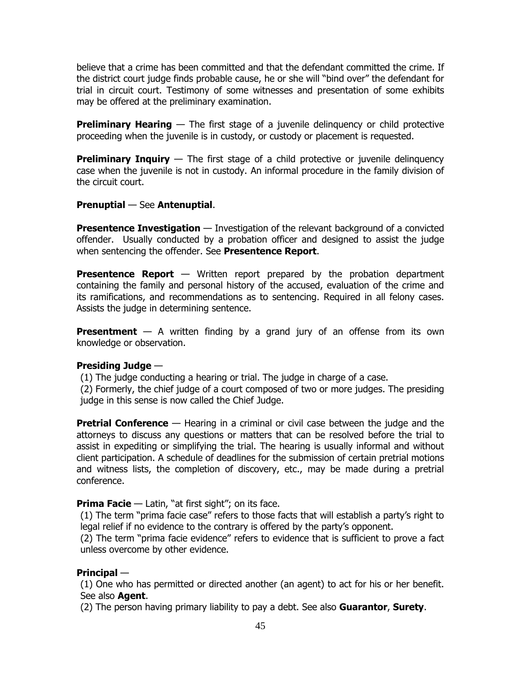believe that a crime has been committed and that the defendant committed the crime. If the district court judge finds probable cause, he or she will "bind over" the defendant for trial in circuit court. Testimony of some witnesses and presentation of some exhibits may be offered at the preliminary examination.

**Preliminary Hearing** — The first stage of a juvenile delinquency or child protective proceeding when the juvenile is in custody, or custody or placement is requested.

**Preliminary Inquiry** — The first stage of a child protective or juvenile delinquency case when the juvenile is not in custody. An informal procedure in the family division of the circuit court.

# **Prenuptial** — See **Antenuptial**.

**Presentence Investigation** — Investigation of the relevant background of a convicted offender. Usually conducted by a probation officer and designed to assist the judge when sentencing the offender. See **Presentence Report**.

**Presentence Report** — Written report prepared by the probation department containing the family and personal history of the accused, evaluation of the crime and its ramifications, and recommendations as to sentencing. Required in all felony cases. Assists the judge in determining sentence.

**Presentment** — A written finding by a grand jury of an offense from its own knowledge or observation.

# **Presiding Judge** —

(1) The judge conducting a hearing or trial. The judge in charge of a case.

(2) Formerly, the chief judge of a court composed of two or more judges. The presiding judge in this sense is now called the Chief Judge.

**Pretrial Conference** — Hearing in a criminal or civil case between the judge and the attorneys to discuss any questions or matters that can be resolved before the trial to assist in expediting or simplifying the trial. The hearing is usually informal and without client participation. A schedule of deadlines for the submission of certain pretrial motions and witness lists, the completion of discovery, etc., may be made during a pretrial conference.

# **Prima Facie** — Latin, "at first sight"; on its face.

(1) The term "prima facie case" refers to those facts that will establish a party's right to legal relief if no evidence to the contrary is offered by the party's opponent.

(2) The term "prima facie evidence" refers to evidence that is sufficient to prove a fact unless overcome by other evidence.

# **Principal** —

(1) One who has permitted or directed another (an agent) to act for his or her benefit. See also **Agent**.

(2) The person having primary liability to pay a debt. See also **Guarantor**, **Surety**.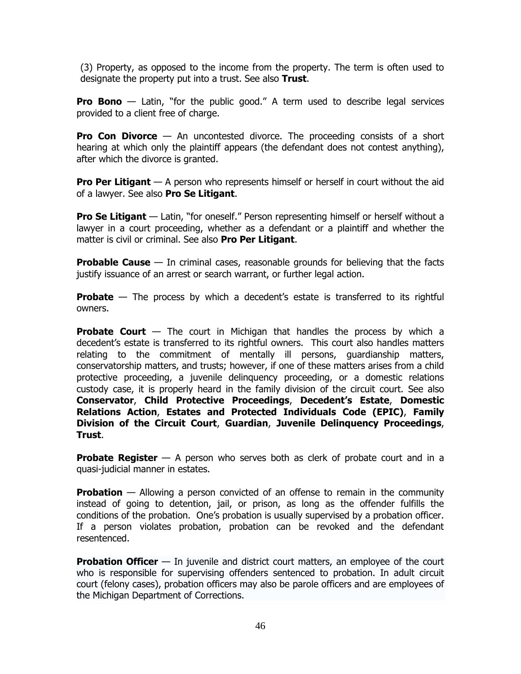(3) Property, as opposed to the income from the property. The term is often used to designate the property put into a trust. See also **Trust**.

**Pro Bono** — Latin, "for the public good." A term used to describe legal services provided to a client free of charge.

**Pro Con Divorce** — An uncontested divorce. The proceeding consists of a short hearing at which only the plaintiff appears (the defendant does not contest anything), after which the divorce is granted.

**Pro Per Litigant** — A person who represents himself or herself in court without the aid of a lawyer. See also **Pro Se Litigant**.

**Pro Se Litigant** — Latin, "for oneself." Person representing himself or herself without a [lawyer](http://en.wikipedia.org/wiki/Lawyer) in a [court](http://en.wikipedia.org/wiki/Court) proceeding, whether as a [defendant](http://en.wikipedia.org/wiki/Defendant) or a [plaintiff](http://en.wikipedia.org/wiki/Plaintiff) and whether the matter is [civil](http://en.wikipedia.org/wiki/Civil_law_(common_law)) or [criminal.](http://en.wikipedia.org/wiki/Criminal_law) See also **Pro Per Litigant**.

**Probable Cause** — In criminal cases, reasonable grounds for believing that the facts justify issuance of an arrest or search warrant, or further legal action.

**Probate** — The process by which a decedent's estate is transferred to its rightful owners.

**Probate Court** — The court in Michigan that handles the process by which a decedent's estate is transferred to its rightful owners. This court also handles matters relating to the commitment of mentally ill persons, guardianship matters, conservatorship matters, and trusts; however, if one of these matters arises from a child protective proceeding, a juvenile delinquency proceeding, or a domestic relations custody case, it is properly heard in the family division of the circuit court. See also **Conservator**, **Child Protective Proceedings**, **Decedent's Estate**, **Domestic Relations Action**, **Estates and Protected Individuals Code (EPIC)**, **Family Division of the Circuit Court**, **Guardian**, **Juvenile Delinquency Proceedings**, **Trust**.

**Probate Register** — A person who serves both as clerk of probate court and in a quasi-judicial manner in estates.

**Probation** — Allowing a person convicted of an offense to remain in the community instead of going to detention, jail, or prison, as long as the offender fulfills the conditions of the probation. One's probation is usually supervised by a probation officer. If a person violates probation, probation can be revoked and the defendant resentenced.

**Probation Officer** — In juvenile and district court matters, an employee of the court who is responsible for supervising offenders sentenced to probation. In adult circuit court (felony cases), probation officers may also be parole officers and are employees of the Michigan Department of Corrections.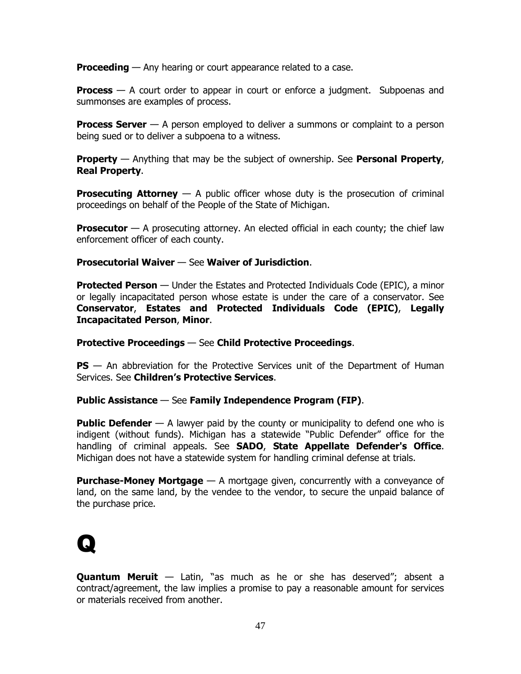**Proceeding** — Any hearing or court appearance related to a case.

**Process** — A court order to appear in court or enforce a judgment. Subpoenas and summonses are examples of process.

**Process Server** — A person employed to deliver a summons or complaint to a person being sued or to deliver a subpoena to a witness.

**Property** — Anything that may be the subject of ownership. See **Personal Property**, **Real Property**.

**Prosecuting Attorney** — A public officer whose duty is the prosecution of criminal proceedings on behalf of the People of the State of Michigan.

**Prosecutor** — A prosecuting attorney. An elected official in each county; the chief law enforcement officer of each county.

# **Prosecutorial Waiver** — See **Waiver of Jurisdiction**.

**Protected Person** — Under the Estates and Protected Individuals Code (EPIC), a minor or legally incapacitated person whose estate is under the care of a conservator. See **Conservator**, **Estates and Protected Individuals Code (EPIC)**, **Legally Incapacitated Person**, **Minor**.

#### **Protective Proceedings** — See **Child Protective Proceedings**.

**PS** — An abbreviation for the Protective Services unit of the Department of Human Services. See **Children's Protective Services**.

# **Public Assistance** — See **Family Independence Program (FIP)**.

**Public Defender** — A lawyer paid by the county or municipality to defend one who is indigent (without funds). Michigan has a statewide "Public Defender" office for the handling of criminal appeals. See **SADO**, **State Appellate Defender's Office**. Michigan does not have a statewide system for handling criminal defense at trials.

**Purchase-Money Mortgage** — A mortgage given, concurrently with a conveyance of land, on the same land, by the vendee to the vendor, to secure the unpaid balance of the purchase price.

# Q

**Quantum Meruit** — Latin, "as much as he or she has deserved"; absent a contract/agreement, the law implies a promise to pay a reasonable amount for services or materials received from another.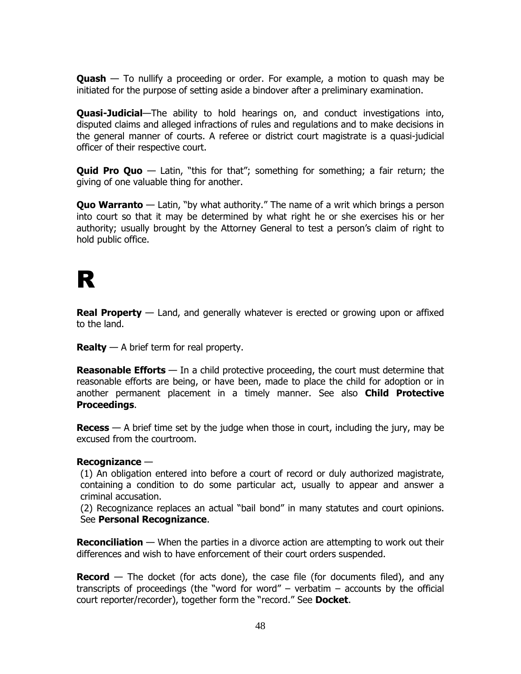**Quash** — To nullify a proceeding or order. For example, a motion to quash may be initiated for the purpose of setting aside a bindover after a preliminary examination.

**Quasi-Judicial**—The ability to hold hearings on, and conduct investigations into, disputed claims and alleged infractions of rules and regulations and to make decisions in the general manner of courts. A referee or district court magistrate is a quasi-judicial officer of their respective court.

**Quid Pro Quo** — Latin, "this for that"; something for something; a fair return; the giving of one valuable thing for another.

**Quo Warranto** — Latin, "by what authority." The name of a writ which brings a person into court so that it may be determined by what right he or she exercises his or her authority; usually brought by the Attorney General to test a person's claim of right to hold public office.

# R

**Real Property** — Land, and generally whatever is erected or growing upon or affixed to the land.

**Realty** — A brief term for real property.

**Reasonable Efforts** — In a child protective proceeding, the court must determine that reasonable efforts are being, or have been, made to place the child for adoption or in another permanent placement in a timely manner. See also **Child Protective Proceedings**.

**Recess** — A brief time set by the judge when those in court, including the jury, may be excused from the courtroom.

# **Recognizance** —

(1) An obligation entered into before a court of record or duly authorized magistrate, containing a condition to do some particular act, usually to appear and answer a criminal accusation.

(2) Recognizance replaces an actual "bail bond" in many statutes and court opinions. See **Personal Recognizance**.

**Reconciliation** — When the parties in a divorce action are attempting to work out their differences and wish to have enforcement of their court orders suspended.

**Record** — The docket (for acts done), the case file (for documents filed), and any transcripts of proceedings (the "word for word" – verbatim – accounts by the official court reporter/recorder), together form the "record." See **Docket**.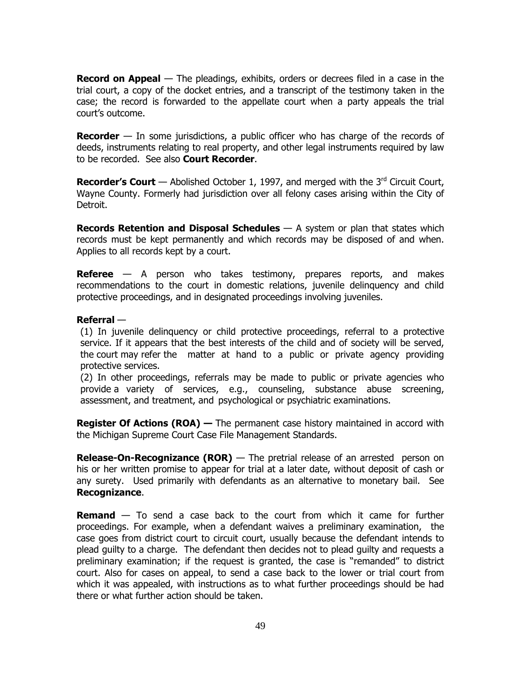**Record on Appeal** — The pleadings, exhibits, orders or decrees filed in a case in the trial court, a copy of the docket entries, and a transcript of the testimony taken in the case; the record is forwarded to the appellate court when a party appeals the trial court's outcome.

**Recorder** — In some jurisdictions, a public officer who has charge of the records of deeds, instruments relating to real property, and other legal instruments required by law to be recorded. See also **Court Recorder**.

**Recorder's Court** — Abolished October 1, 1997, and merged with the 3<sup>rd</sup> Circuit Court, Wayne County. Formerly had jurisdiction over all felony cases arising within the City of Detroit.

**Records Retention and Disposal Schedules** — A system or plan that states which records must be kept permanently and which records may be disposed of and when. Applies to all records kept by a court.

**Referee** — A person who takes testimony, prepares reports, and makes recommendations to the court in domestic relations, juvenile delinquency and child protective proceedings, and in designated proceedings involving juveniles.

# **Referral** —

(1) In juvenile delinquency or child protective proceedings, referral to a protective service. If it appears that the best interests of the child and of society will be served, the court may refer the matter at hand to a public or private agency providing protective services.

(2) In other proceedings, referrals may be made to public or private agencies who provide a variety of services, e.g., counseling, substance abuse screening, assessment, and treatment, and psychological or psychiatric examinations.

**Register Of Actions (ROA) —** The permanent case history maintained in accord with the Michigan Supreme Court Case File Management Standards.

**Release-On-Recognizance (ROR)** — The pretrial release of an arrested person on his or her written promise to appear for trial at a later date, without deposit of cash or any surety. Used primarily with defendants as an alternative to monetary bail. See **Recognizance**.

**Remand** — To send a case back to the court from which it came for further proceedings. For example, when a defendant waives a preliminary examination, the case goes from district court to circuit court, usually because the defendant intends to plead guilty to a charge. The defendant then decides not to plead guilty and requests a preliminary examination; if the request is granted, the case is "remanded" to district court. Also for cases on appeal, to send a case back to the lower or trial court from which it was appealed, with instructions as to what further proceedings should be had there or what further action should be taken.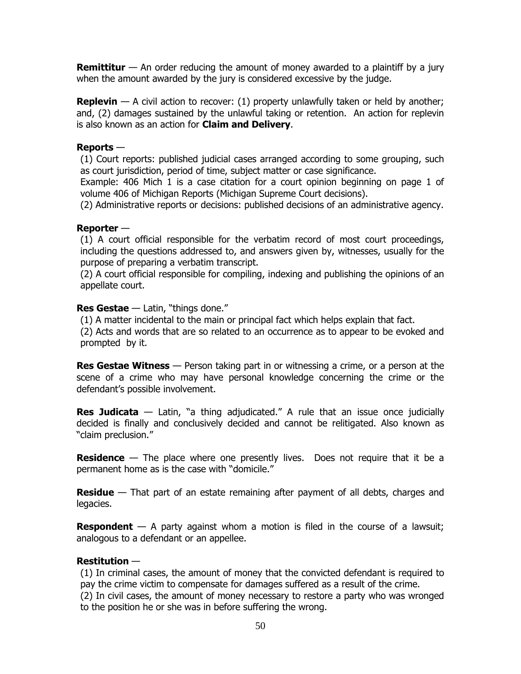**Remittitur** — An order reducing the amount of money awarded to a plaintiff by a jury when the amount awarded by the jury is considered excessive by the judge.

**Replevin** — A civil action to recover: (1) property unlawfully taken or held by another; and, (2) damages sustained by the unlawful taking or retention. An action for replevin is also known as an action for **Claim and Delivery**.

#### **Reports** —

(1) Court reports: published judicial cases arranged according to some grouping, such as court jurisdiction, period of time, subject matter or case significance.

Example: 406 Mich 1 is a case citation for a court opinion beginning on page 1 of volume 406 of Michigan Reports (Michigan Supreme Court decisions).

(2) Administrative reports or decisions: published decisions of an administrative agency.

#### **Reporter** —

(1) A court official responsible for the verbatim record of most court proceedings, including the questions addressed to, and answers given by, witnesses, usually for the purpose of preparing a verbatim transcript.

(2) A court official responsible for compiling, indexing and publishing the opinions of an appellate court.

#### **Res Gestae** — Latin, "things done."

(1) A matter incidental to the main or principal fact which helps explain that fact.

(2) Acts and words that are so related to an occurrence as to appear to be evoked and prompted by it.

**Res Gestae Witness** — Person taking part in or witnessing a crime, or a person at the scene of a crime who may have personal knowledge concerning the crime or the defendant's possible involvement.

**Res Judicata** — Latin, "a thing adjudicated." A rule that an issue once judicially decided is finally and conclusively decided and cannot be relitigated. Also known as "claim preclusion."

**Residence** — The place where one presently lives. Does not require that it be a permanent home as is the case with "domicile."

**Residue** — That part of an estate remaining after payment of all debts, charges and legacies.

**Respondent** — A party against whom a motion is filed in the course of a lawsuit; analogous to a defendant or an appellee.

# **Restitution** —

(1) In criminal cases, the amount of money that the convicted defendant is required to pay the crime victim to compensate for damages suffered as a result of the crime.

(2) In civil cases, the amount of money necessary to restore a party who was wronged to the position he or she was in before suffering the wrong.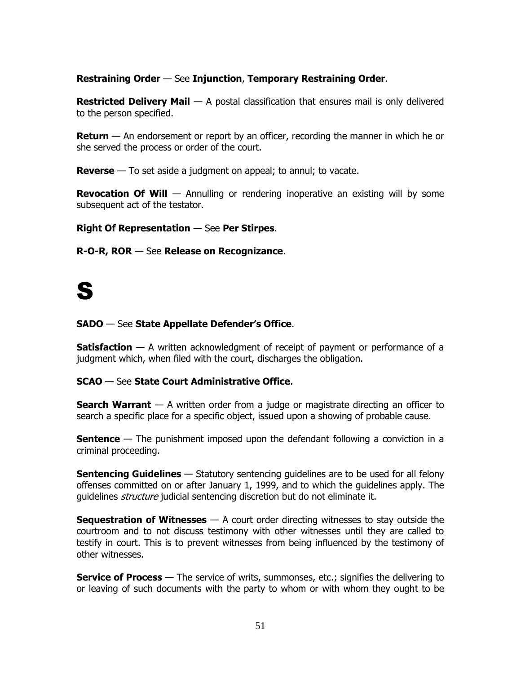# **Restraining Order** — See **Injunction**, **Temporary Restraining Order**.

**Restricted Delivery Mail** — A postal classification that ensures mail is only delivered to the person specified.

**Return** — An endorsement or report by an officer, recording the manner in which he or she served the process or order of the court.

**Reverse** — To set aside a judgment on appeal; to annul; to vacate.

**Revocation Of Will** — Annulling or rendering inoperative an existing will by some subsequent act of the testator.

**Right Of Representation** — See **Per Stirpes**.

**R-O-R, ROR** — See **Release on Recognizance**.

# S

# **SADO** — See **State Appellate Defender's Office**.

**Satisfaction** — A written acknowledgment of receipt of payment or performance of a judgment which, when filed with the court, discharges the obligation.

# **SCAO** — See **State Court Administrative Office**.

**Search Warrant** — A written order from a judge or magistrate directing an officer to search a specific place for a specific object, issued upon a showing of probable cause.

**Sentence** — The punishment imposed upon the defendant following a conviction in a criminal proceeding.

**Sentencing Guidelines** — Statutory sentencing quidelines are to be used for all felony offenses committed on or after January 1, 1999, and to which the guidelines apply. The quidelines *structure* judicial sentencing discretion but do not eliminate it.

**Sequestration of Witnesses** — A court order directing witnesses to stay outside the courtroom and to not discuss testimony with other witnesses until they are called to testify in court. This is to prevent witnesses from being influenced by the testimony of other witnesses.

**Service of Process** — The service of writs, summonses, etc.; signifies the delivering to or leaving of such documents with the party to whom or with whom they ought to be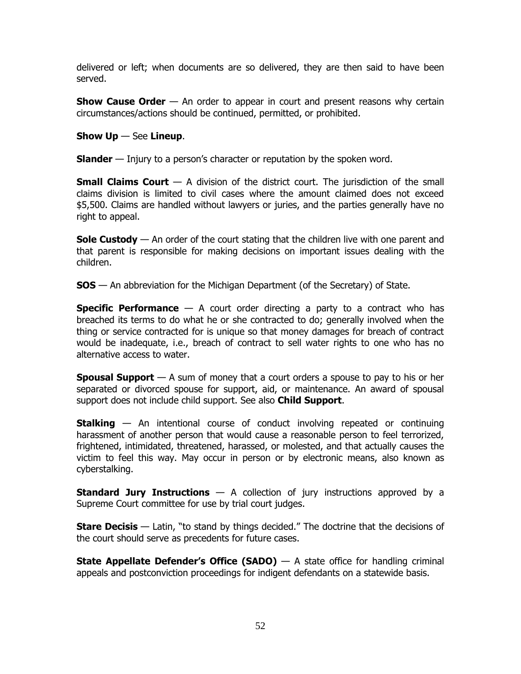delivered or left; when documents are so delivered, they are then said to have been served.

**Show Cause Order** — An order to appear in court and present reasons why certain circumstances/actions should be continued, permitted, or prohibited.

# **Show Up** — See **Lineup**.

**Slander** — Injury to a person's character or reputation by the spoken word.

**Small Claims Court** — A division of the district court. The jurisdiction of the small claims division is limited to civil cases where the amount claimed does not exceed \$5,500. Claims are handled without lawyers or juries, and the parties generally have no right to appeal.

**Sole Custody** — An order of the court stating that the children live with one parent and that parent is responsible for making decisions on important issues dealing with the children.

**SOS** — An abbreviation for the Michigan Department (of the Secretary) of State.

**Specific Performance** — A court order directing a party to a contract who has breached its terms to do what he or she contracted to do; generally involved when the thing or service contracted for is unique so that money damages for breach of contract would be inadequate, i.e., breach of contract to sell water rights to one who has no alternative access to water.

**Spousal Support** — A sum of money that a court orders a spouse to pay to his or her separated or divorced spouse for support, aid, or maintenance. An award of spousal support does not include child support. See also **Child Support**.

**Stalking** — An intentional course of conduct involving repeated or continuing harassment of another person that would cause a reasonable person to feel terrorized, frightened, intimidated, threatened, harassed, or molested, and that actually causes the victim to feel this way. May occur in person or by electronic means, also known as cyberstalking.

**Standard Jury Instructions** — A collection of jury instructions approved by a Supreme Court committee for use by trial court judges.

**Stare Decisis** — Latin, "to stand by things decided." The doctrine that the decisions of the court should serve as precedents for future cases.

**State Appellate Defender's Office (SADO)** — A state office for handling criminal appeals and postconviction proceedings for indigent defendants on a statewide basis.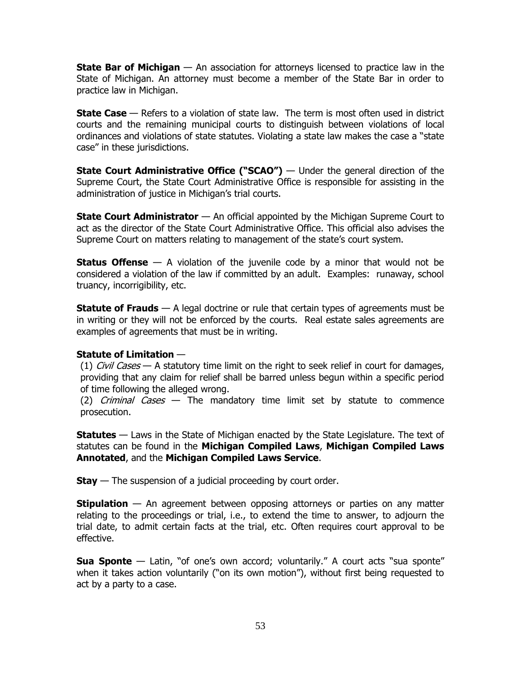**State Bar of Michigan** — An association for attorneys licensed to practice law in the State of Michigan. An attorney must become a member of the State Bar in order to practice law in Michigan.

**State Case** — Refers to a violation of state law. The term is most often used in district courts and the remaining municipal courts to distinguish between violations of local ordinances and violations of state statutes. Violating a state law makes the case a "state case" in these jurisdictions.

**State Court Administrative Office ("SCAO")** — Under the general direction of the Supreme Court, the State Court Administrative Office is responsible for assisting in the administration of justice in Michigan's trial courts.

**State Court Administrator** — An official appointed by the Michigan Supreme Court to act as the director of the State Court Administrative Office. This official also advises the Supreme Court on matters relating to management of the state's court system.

**Status Offense** — A violation of the juvenile code by a minor that would not be considered a violation of the law if committed by an adult. Examples: runaway, school truancy, incorrigibility, etc.

**Statute of Frauds** — A legal doctrine or rule that certain types of agreements must be in writing or they will not be enforced by the courts. Real estate sales agreements are examples of agreements that must be in writing.

# **Statute of Limitation** —

(1) *Civil Cases* — A statutory time limit on the right to seek relief in court for damages, providing that any claim for relief shall be barred unless begun within a specific period of time following the alleged wrong.

(2) *Criminal Cases*  $-$  The mandatory time limit set by statute to commence prosecution.

**Statutes** — Laws in the State of Michigan enacted by the State Legislature. The text of statutes can be found in the **Michigan Compiled Laws**, **Michigan Compiled Laws Annotated**, and the **Michigan Compiled Laws Service**.

**Stay** — The suspension of a judicial proceeding by court order.

**Stipulation** — An agreement between opposing attorneys or parties on any matter relating to the proceedings or trial, i.e., to extend the time to answer, to adjourn the trial date, to admit certain facts at the trial, etc. Often requires court approval to be effective.

**Sua Sponte** — Latin, "of one's own accord; voluntarily." A court acts "sua sponte" when it takes action voluntarily ("on its own motion"), without first being requested to act by a party to a case.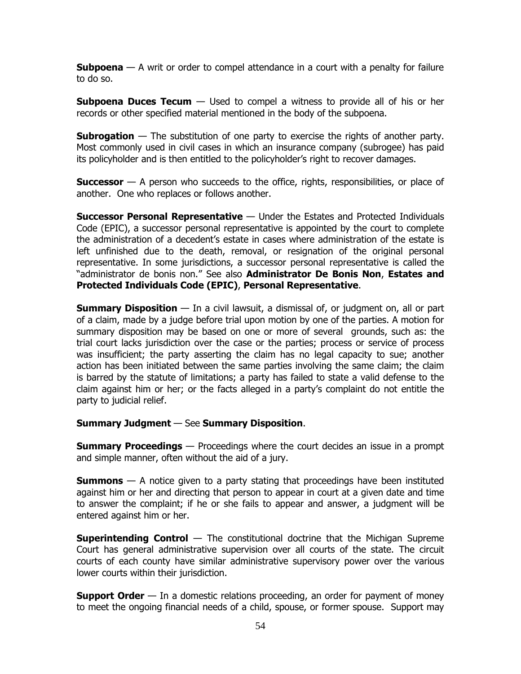**Subpoena** — A writ or order to compel attendance in a court with a penalty for failure to do so.

**Subpoena Duces Tecum** — Used to compel a witness to provide all of his or her records or other specified material mentioned in the body of the subpoena.

**Subrogation** — The substitution of one party to exercise the rights of another party. Most commonly used in civil cases in which an insurance company (subrogee) has paid its policyholder and is then entitled to the policyholder's right to recover damages.

**Successor** — A person who succeeds to the office, rights, responsibilities, or place of another. One who replaces or follows another.

**Successor Personal Representative** — Under the Estates and Protected Individuals Code (EPIC), a successor personal representative is appointed by the court to complete the administration of a decedent's estate in cases where administration of the estate is left unfinished due to the death, removal, or resignation of the original personal representative. In some jurisdictions, a successor personal representative is called the "administrator de bonis non." See also **Administrator De Bonis Non**, **Estates and Protected Individuals Code (EPIC)**, **Personal Representative**.

**Summary Disposition** — In a civil lawsuit, a dismissal of, or judgment on, all or part of a claim, made by a judge before trial upon motion by one of the parties. A motion for summary disposition may be based on one or more of several grounds, such as: the trial court lacks jurisdiction over the case or the parties; process or service of process was insufficient; the party asserting the claim has no legal capacity to sue; another action has been initiated between the same parties involving the same claim; the claim is barred by the statute of limitations; a party has failed to state a valid defense to the claim against him or her; or the facts alleged in a party's complaint do not entitle the party to judicial relief.

# **Summary Judgment** — See **Summary Disposition**.

**Summary Proceedings** — Proceedings where the court decides an issue in a prompt and simple manner, often without the aid of a jury.

**Summons** — A notice given to a party stating that proceedings have been instituted against him or her and directing that person to appear in court at a given date and time to answer the complaint; if he or she fails to appear and answer, a judgment will be entered against him or her.

**Superintending Control** — The constitutional doctrine that the Michigan Supreme Court has general administrative supervision over all courts of the state. The circuit courts of each county have similar administrative supervisory power over the various lower courts within their jurisdiction.

**Support Order** — In a domestic relations proceeding, an order for payment of money to meet the ongoing financial needs of a child, spouse, or former spouse. Support may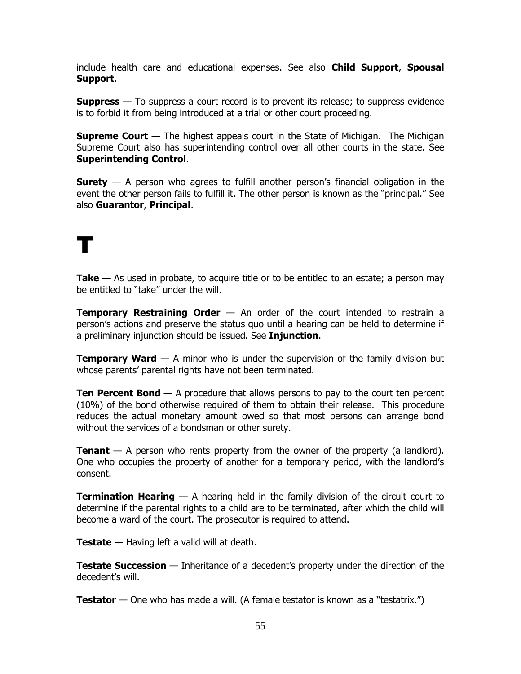include health care and educational expenses. See also **Child Support**, **Spousal Support**.

**Suppress** — To suppress a court record is to prevent its release; to suppress evidence is to forbid it from being introduced at a trial or other court proceeding.

**Supreme Court** — The highest appeals court in the State of Michigan. The Michigan Supreme Court also has superintending control over all other courts in the state. See **Superintending Control**.

**Surety** — A person who agrees to fulfill another person's financial obligation in the event the other person fails to fulfill it. The other person is known as the "principal." See also **Guarantor**, **Principal**.

# T

**Take** — As used in probate, to acquire title or to be entitled to an estate; a person may be entitled to "take" under the will.

**Temporary Restraining Order** — An order of the court intended to restrain a person's actions and preserve the status quo until a hearing can be held to determine if a preliminary injunction should be issued. See **Injunction**.

**Temporary Ward** — A minor who is under the supervision of the family division but whose parents' parental rights have not been terminated.

**Ten Percent Bond** — A procedure that allows persons to pay to the court ten percent (10%) of the bond otherwise required of them to obtain their release. This procedure reduces the actual monetary amount owed so that most persons can arrange bond without the services of a bondsman or other surety.

**Tenant** — A person who rents property from the owner of the property (a landlord). One who occupies the property of another for a temporary period, with the landlord's consent.

**Termination Hearing** — A hearing held in the family division of the circuit court to determine if the parental rights to a child are to be terminated, after which the child will become a ward of the court. The prosecutor is required to attend.

**Testate** — Having left a valid will at death.

**Testate Succession** — Inheritance of a decedent's property under the direction of the decedent's will.

**Testator** — One who has made a will. (A female testator is known as a "testatrix.")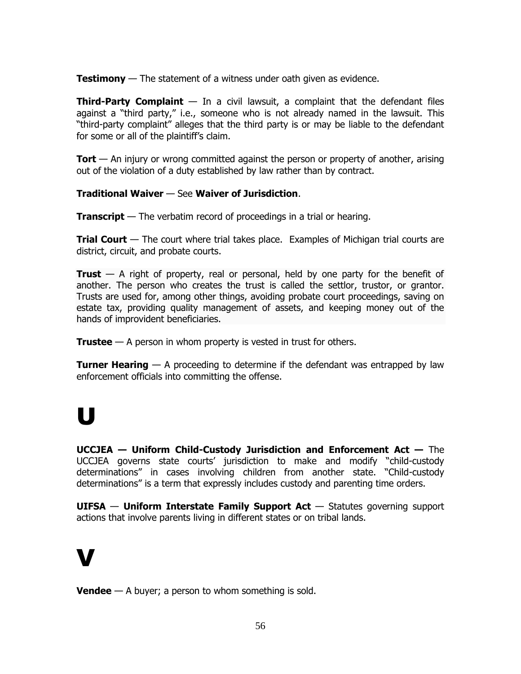**Testimony** — The statement of a witness under oath given as evidence.

**Third-Party Complaint** — In a civil lawsuit, a complaint that the defendant files against a "third party," i.e., someone who is not already named in the lawsuit. This "third-party complaint" alleges that the third party is or may be liable to the defendant for some or all of the plaintiff's claim.

**Tort** — An injury or wrong committed against the person or property of another, arising out of the violation of a duty established by law rather than by contract.

# **Traditional Waiver** — See **Waiver of Jurisdiction**.

**Transcript** — The verbatim record of proceedings in a trial or hearing.

**Trial Court** — The court where trial takes place. Examples of Michigan trial courts are district, circuit, and probate courts.

**Trust** — A right of property, real or personal, held by one party for the benefit of another. The person who creates the trust is called the settlor, trustor, or grantor. Trusts are used for, among other things, avoiding probate court proceedings, saving on estate tax, providing quality management of assets, and keeping money out of the hands of improvident beneficiaries.

**Trustee** — A person in whom property is vested in trust for others.

**Turner Hearing** — A proceeding to determine if the defendant was entrapped by law enforcement officials into committing the offense.

# U

**UCCJEA — Uniform Child-Custody Jurisdiction and Enforcement Act —** The UCCJEA governs state courts' jurisdiction to make and modify "child-custody determinations" in cases involving children from another state. "Child-custody determinations" is a term that expressly includes custody and parenting time orders.

**UIFSA** — **Uniform Interstate Family Support Act** — Statutes governing support actions that involve parents living in different states or on tribal lands.

# V

**Vendee** — A buyer; a person to whom something is sold.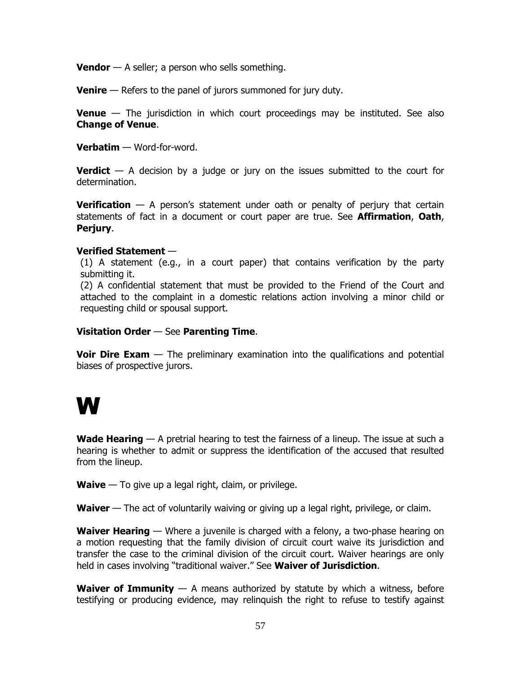**Vendor** — A seller; a person who sells something.

**Venire** — Refers to the panel of jurors summoned for jury duty.

**Venue** — The jurisdiction in which court proceedings may be instituted. See also **Change of Venue**.

**Verbatim** — Word-for-word.

**Verdict** — A decision by a judge or jury on the issues submitted to the court for determination.

**Verification** — A person's statement under oath or penalty of perjury that certain statements of fact in a document or court paper are true. See **Affirmation**, **Oath**, **Perjury**.

# **Verified Statement** —

(1) A statement (e.g., in a court paper) that contains verification by the party submitting it.

(2) A confidential statement that must be provided to the Friend of the Court and attached to the complaint in a domestic relations action involving a minor child or requesting child or spousal support.

#### **Visitation Order** — See **Parenting Time**.

**Voir Dire Exam** — The preliminary examination into the qualifications and potential biases of prospective jurors.

# W

**Wade Hearing** — A pretrial hearing to test the fairness of a lineup. The issue at such a hearing is whether to admit or suppress the identification of the accused that resulted from the lineup.

**Waive** — To give up a legal right, claim, or privilege.

**Waiver** — The act of voluntarily waiving or giving up a legal right, privilege, or claim.

**Waiver Hearing** — Where a juvenile is charged with a felony, a two-phase hearing on a motion requesting that the family division of circuit court waive its jurisdiction and transfer the case to the criminal division of the circuit court. Waiver hearings are only held in cases involving "traditional waiver." See **Waiver of Jurisdiction**.

**Waiver of Immunity** — A means authorized by statute by which a witness, before testifying or producing evidence, may relinquish the right to refuse to testify against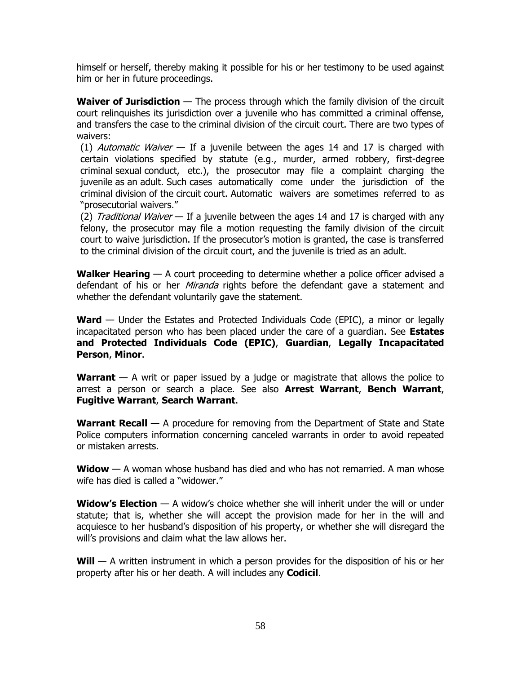himself or herself, thereby making it possible for his or her testimony to be used against him or her in future proceedings.

**Waiver of Jurisdiction** — The process through which the family division of the circuit court relinquishes its jurisdiction over a juvenile who has committed a criminal offense, and transfers the case to the criminal division of the circuit court. There are two types of waivers:

(1) Automatic Waiver  $-$  If a juvenile between the ages 14 and 17 is charged with certain violations specified by statute (e.g., murder, armed robbery, first-degree criminal sexual conduct, etc.), the prosecutor may file a complaint charging the juvenile as an adult. Such cases automatically come under the jurisdiction of the criminal division of the circuit court. Automatic waivers are sometimes referred to as "prosecutorial waivers."

(2) Traditional Waiver  $-$  If a juvenile between the ages 14 and 17 is charged with any felony, the prosecutor may file a motion requesting the family division of the circuit court to waive jurisdiction. If the prosecutor's motion is granted, the case is transferred to the criminal division of the circuit court, and the juvenile is tried as an adult.

**Walker Hearing** — A court proceeding to determine whether a police officer advised a defendant of his or her *Miranda* rights before the defendant gave a statement and whether the defendant voluntarily gave the statement.

**Ward** — Under the Estates and Protected Individuals Code (EPIC), a minor or legally incapacitated person who has been placed under the care of a guardian. See **Estates and Protected Individuals Code (EPIC)**, **Guardian**, **Legally Incapacitated Person**, **Minor**.

**Warrant** — A writ or paper issued by a judge or magistrate that allows the police to arrest a person or search a place. See also **Arrest Warrant**, **Bench Warrant**, **Fugitive Warrant**, **Search Warrant**.

**Warrant Recall** — A procedure for removing from the Department of State and State Police computers information concerning canceled warrants in order to avoid repeated or mistaken arrests.

**Widow** — A woman whose husband has died and who has not remarried. A man whose wife has died is called a "widower."

**Widow's Election** — A widow's choice whether she will inherit under the will or under statute; that is, whether she will accept the provision made for her in the will and acquiesce to her husband's disposition of his property, or whether she will disregard the will's provisions and claim what the law allows her.

**Will** — A written instrument in which a person provides for the disposition of his or her property after his or her death. A will includes any **Codicil**.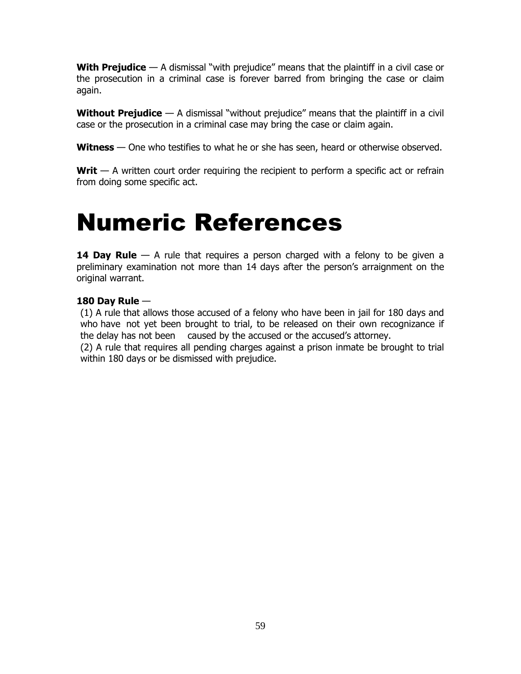**With Prejudice** — A dismissal "with prejudice" means that the plaintiff in a civil case or the prosecution in a criminal case is forever barred from bringing the case or claim again.

**Without Prejudice** — A dismissal "without prejudice" means that the plaintiff in a civil case or the prosecution in a criminal case may bring the case or claim again.

**Witness** — One who testifies to what he or she has seen, heard or otherwise observed.

**Writ** — A written court order requiring the recipient to perform a specific act or refrain from doing some specific act.

# Numeric References

**14 Day Rule** — A rule that requires a person charged with a felony to be given a preliminary examination not more than 14 days after the person's arraignment on the original warrant.

# **180 Day Rule** —

(1) A rule that allows those accused of a felony who have been in jail for 180 days and who have not yet been brought to trial, to be released on their own recognizance if the delay has not been caused by the accused or the accused's attorney.

(2) A rule that requires all pending charges against a prison inmate be brought to trial within 180 days or be dismissed with prejudice.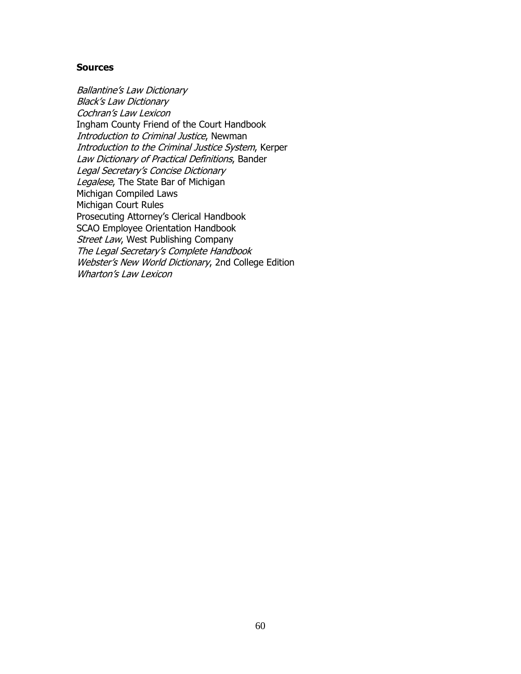# **Sources**

Ballantine's Law Dictionary Black's Law Dictionary Cochran's Law Lexicon Ingham County Friend of the Court Handbook Introduction to Criminal Justice, Newman Introduction to the Criminal Justice System, Kerper Law Dictionary of Practical Definitions, Bander Legal Secretary's Concise Dictionary Legalese, The State Bar of Michigan Michigan Compiled Laws Michigan Court Rules Prosecuting Attorney's Clerical Handbook SCAO Employee Orientation Handbook Street Law, West Publishing Company The Legal Secretary's Complete Handbook Webster's New World Dictionary, 2nd College Edition Wharton's Law Lexicon